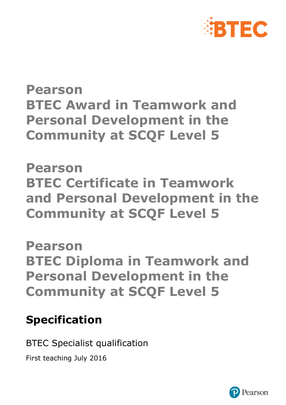

# **Pearson BTEC Award in Teamwork and Personal Development in the Community at SCQF Level 5**

**Pearson BTEC Certificate in Teamwork and Personal Development in the Community at SCQF Level 5**

**Pearson BTEC Diploma in Teamwork and Personal Development in the Community at SCQF Level 5**

# **Specification**

BTEC Specialist qualification

First teaching July 2016

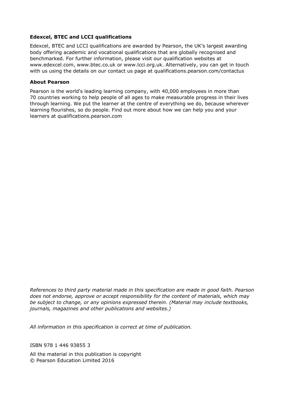#### **Edexcel, BTEC and LCCI qualifications**

Edexcel, BTEC and LCCI qualifications are awarded by Pearson, the UK's largest awarding body offering academic and vocational qualifications that are globally recognised and benchmarked. For further information, please visit our qualification websites at www.edexcel.com, www.btec.co.uk or www.lcci.org.uk. Alternatively, you can get in touch with us using the details on our contact us page at qualifications.pearson.com/contactus

#### **About Pearson**

Pearson is the world's leading learning company, with 40,000 employees in more than 70 countries working to help people of all ages to make measurable progress in their lives through learning. We put the learner at the centre of everything we do, because wherever learning flourishes, so do people. Find out more about how we can help you and your learners at qualifications.pearson.com

*References to third party material made in this specification are made in good faith. Pearson does not endorse, approve or accept responsibility for the content of materials, which may be subject to change, or any opinions expressed therein. (Material may include textbooks, journals, magazines and other publications and websites.)*

*All information in this specification is correct at time of publication.*

ISBN 978 1 446 93855 3

All the material in this publication is copyright © Pearson Education Limited 2016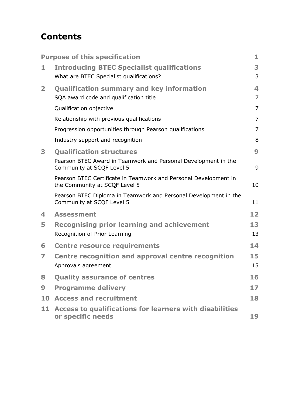# **Contents**

|                | <b>Purpose of this specification</b>                                                              | $\mathbf{1}$        |
|----------------|---------------------------------------------------------------------------------------------------|---------------------|
| 1              | <b>Introducing BTEC Specialist qualifications</b><br>What are BTEC Specialist qualifications?     | 3<br>3              |
| $\overline{2}$ | <b>Qualification summary and key information</b><br>SQA award code and qualification title        | 4<br>$\overline{7}$ |
|                | Qualification objective                                                                           | 7                   |
|                | Relationship with previous qualifications                                                         | 7                   |
|                | Progression opportunities through Pearson qualifications                                          | $\overline{7}$      |
|                | Industry support and recognition                                                                  | 8                   |
| 3              | <b>Qualification structures</b>                                                                   | 9                   |
|                | Pearson BTEC Award in Teamwork and Personal Development in the<br>Community at SCQF Level 5       | 9                   |
|                | Pearson BTEC Certificate in Teamwork and Personal Development in<br>the Community at SCQF Level 5 | 10                  |
|                | Pearson BTEC Diploma in Teamwork and Personal Development in the<br>Community at SCQF Level 5     | 11                  |
| 4              | <b>Assessment</b>                                                                                 | $12 \ \mathrm{$     |
| 5              | <b>Recognising prior learning and achievement</b><br>Recognition of Prior Learning                | 13<br>13            |
| 6              | <b>Centre resource requirements</b>                                                               | 14                  |
| 7              | Centre recognition and approval centre recognition<br>Approvals agreement                         | 15<br>15            |
| 8              | <b>Quality assurance of centres</b>                                                               | 16                  |
| 9              | <b>Programme delivery</b>                                                                         | 17                  |
| 10             | <b>Access and recruitment</b>                                                                     | 18                  |
| 11             | Access to qualifications for learners with disabilities<br>or specific needs                      | 19                  |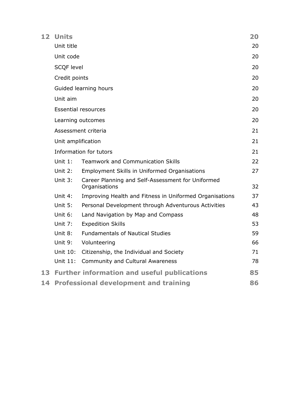| 12 | <b>Units</b>       |                                                                    | 20 |
|----|--------------------|--------------------------------------------------------------------|----|
|    | Unit title         |                                                                    | 20 |
|    | Unit code          |                                                                    | 20 |
|    | <b>SCQF level</b>  |                                                                    | 20 |
|    | Credit points      |                                                                    | 20 |
|    |                    | Guided learning hours                                              | 20 |
|    | Unit aim           |                                                                    | 20 |
|    |                    | <b>Essential resources</b>                                         | 20 |
|    |                    | Learning outcomes                                                  | 20 |
|    |                    | Assessment criteria                                                | 21 |
|    | Unit amplification |                                                                    | 21 |
|    |                    | Information for tutors                                             | 21 |
|    | Unit $1$ :         | <b>Teamwork and Communication Skills</b>                           | 22 |
|    | Unit 2:            | <b>Employment Skills in Uniformed Organisations</b>                | 27 |
|    | Unit 3:            | Career Planning and Self-Assessment for Uniformed<br>Organisations | 32 |
|    | Unit 4:            | Improving Health and Fitness in Uniformed Organisations            | 37 |
|    | Unit 5:            | Personal Development through Adventurous Activities                | 43 |
|    | Unit 6:            | Land Navigation by Map and Compass                                 | 48 |
|    | Unit 7:            | <b>Expedition Skills</b>                                           | 53 |
|    | Unit 8:            | <b>Fundamentals of Nautical Studies</b>                            | 59 |
|    | Unit 9:            | Volunteering                                                       | 66 |
|    | Unit 10:           | Citizenship, the Individual and Society                            | 71 |
|    | <b>Unit 11:</b>    | <b>Community and Cultural Awareness</b>                            | 78 |
| 13 |                    | <b>Further information and useful publications</b>                 | 85 |
| 14 |                    | <b>Professional development and training</b>                       | 86 |
|    |                    |                                                                    |    |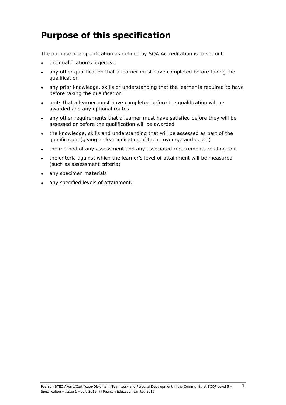# <span id="page-4-0"></span>**Purpose of this specification**

The purpose of a specification as defined by SQA Accreditation is to set out:

- the qualification's objective
- any other qualification that a learner must have completed before taking the qualification
- any prior knowledge, skills or understanding that the learner is required to have before taking the qualification
- units that a learner must have completed before the qualification will be awarded and any optional routes
- any other requirements that a learner must have satisfied before they will be assessed or before the qualification will be awarded
- the knowledge, skills and understanding that will be assessed as part of the qualification (giving a clear indication of their coverage and depth)
- the method of any assessment and any associated requirements relating to it
- the criteria against which the learner's level of attainment will be measured (such as assessment criteria)
- any specimen materials
- any specified levels of attainment.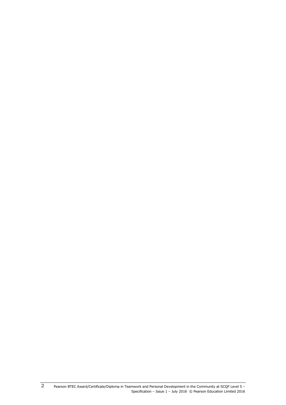Pearson BTEC Award/Certificate/Diploma in Teamwork and Personal Development in the Community at SCQF Level 5 – Specification – Issue 1 – July 2016 © Pearson Education Limited 2016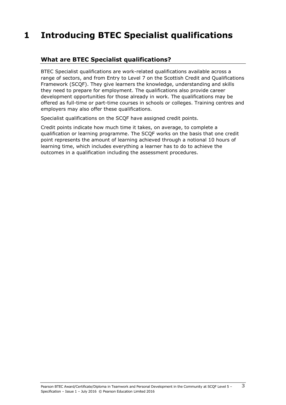# <span id="page-6-0"></span>**1 Introducing BTEC Specialist qualifications**

#### <span id="page-6-1"></span>**What are BTEC Specialist qualifications?**

BTEC Specialist qualifications are work-related qualifications available across a range of sectors, and from Entry to Level 7 on the Scottish Credit and Qualifications Framework (SCQF). They give learners the knowledge, understanding and skills they need to prepare for employment. The qualifications also provide career development opportunities for those already in work. The qualifications may be offered as full-time or part-time courses in schools or colleges. Training centres and employers may also offer these qualifications.

Specialist qualifications on the SCQF have assigned credit points.

Credit points indicate how much time it takes, on average, to complete a qualification or learning programme. The SCQF works on the basis that one credit point represents the amount of learning achieved through a notional 10 hours of learning time, which includes everything a learner has to do to achieve the outcomes in a qualification including the assessment procedures.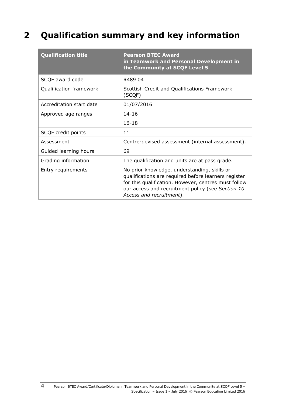# <span id="page-7-0"></span>**2 Qualification summary and key information**

| <b>Qualification title</b> | <b>Pearson BTEC Award</b><br>in Teamwork and Personal Development in<br>the Community at SCQF Level 5                                                                                                                                         |
|----------------------------|-----------------------------------------------------------------------------------------------------------------------------------------------------------------------------------------------------------------------------------------------|
| SCQF award code            | R489 04                                                                                                                                                                                                                                       |
| Qualification framework    | Scottish Credit and Qualifications Framework<br>(SCQF)                                                                                                                                                                                        |
| Accreditation start date   | 01/07/2016                                                                                                                                                                                                                                    |
| Approved age ranges        | $14 - 16$                                                                                                                                                                                                                                     |
|                            | $16 - 18$                                                                                                                                                                                                                                     |
| SCQF credit points         | 11                                                                                                                                                                                                                                            |
| Assessment                 | Centre-devised assessment (internal assessment).                                                                                                                                                                                              |
| Guided learning hours      | 69                                                                                                                                                                                                                                            |
| Grading information        | The qualification and units are at pass grade.                                                                                                                                                                                                |
| Entry requirements         | No prior knowledge, understanding, skills or<br>qualifications are required before learners register<br>for this qualification. However, centres must follow<br>our access and recruitment policy (see Section 10<br>Access and recruitment). |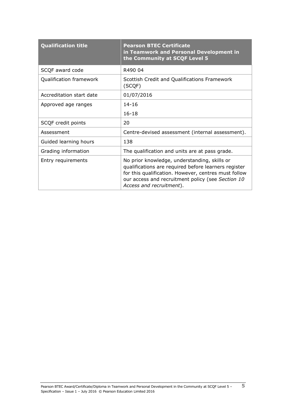| <b>Qualification title</b> | <b>Pearson BTEC Certificate</b><br>in Teamwork and Personal Development in<br>the Community at SCQF Level 5                                                                                                                                   |
|----------------------------|-----------------------------------------------------------------------------------------------------------------------------------------------------------------------------------------------------------------------------------------------|
| SCQF award code            | R490 04                                                                                                                                                                                                                                       |
| Qualification framework    | Scottish Credit and Qualifications Framework<br>(SCQF)                                                                                                                                                                                        |
| Accreditation start date   | 01/07/2016                                                                                                                                                                                                                                    |
| Approved age ranges        | $14 - 16$                                                                                                                                                                                                                                     |
|                            | $16 - 18$                                                                                                                                                                                                                                     |
| SCQF credit points         | 20                                                                                                                                                                                                                                            |
| Assessment                 | Centre-devised assessment (internal assessment).                                                                                                                                                                                              |
| Guided learning hours      | 138                                                                                                                                                                                                                                           |
| Grading information        | The qualification and units are at pass grade.                                                                                                                                                                                                |
| Entry requirements         | No prior knowledge, understanding, skills or<br>qualifications are required before learners register<br>for this qualification. However, centres must follow<br>our access and recruitment policy (see Section 10<br>Access and recruitment). |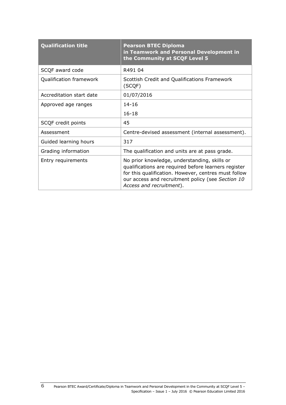| <b>Qualification title</b> | <b>Pearson BTEC Diploma</b><br>in Teamwork and Personal Development in<br>the Community at SCQF Level 5                                                                                                                                       |
|----------------------------|-----------------------------------------------------------------------------------------------------------------------------------------------------------------------------------------------------------------------------------------------|
| SCQF award code            | R491 04                                                                                                                                                                                                                                       |
| Qualification framework    | Scottish Credit and Qualifications Framework<br>(SCQF)                                                                                                                                                                                        |
| Accreditation start date   | 01/07/2016                                                                                                                                                                                                                                    |
| Approved age ranges        | $14 - 16$                                                                                                                                                                                                                                     |
|                            | $16 - 18$                                                                                                                                                                                                                                     |
| SCQF credit points         | 45                                                                                                                                                                                                                                            |
| Assessment                 | Centre-devised assessment (internal assessment).                                                                                                                                                                                              |
| Guided learning hours      | 317                                                                                                                                                                                                                                           |
| Grading information        | The qualification and units are at pass grade.                                                                                                                                                                                                |
| Entry requirements         | No prior knowledge, understanding, skills or<br>qualifications are required before learners register<br>for this qualification. However, centres must follow<br>our access and recruitment policy (see Section 10<br>Access and recruitment). |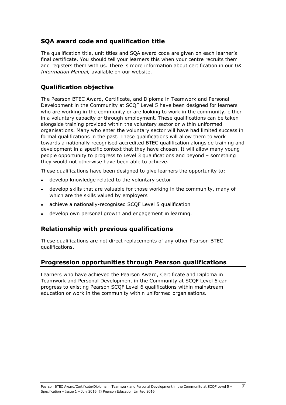### <span id="page-10-0"></span>**SQA award code and qualification title**

The qualification title, unit titles and SQA award code are given on each learner's final certificate. You should tell your learners this when your centre recruits them and registers them with us. There is more information about certification in our *UK Information Manual,* available on our website.

### <span id="page-10-1"></span>**Qualification objective**

The Pearson BTEC Award, Certificate, and Diploma in Teamwork and Personal Development in the Community at SCQF Level 5 have been designed for learners who are working in the community or are looking to work in the community, either in a voluntary capacity or through employment. These qualifications can be taken alongside training provided within the voluntary sector or within uniformed organisations. Many who enter the voluntary sector will have had limited success in formal qualifications in the past. These qualifications will allow them to work towards a nationally recognised accredited BTEC qualification alongside training and development in a specific context that they have chosen. It will allow many young people opportunity to progress to Level 3 qualifications and beyond – something they would not otherwise have been able to achieve.

These qualifications have been designed to give learners the opportunity to:

- develop knowledge related to the voluntary sector
- develop skills that are valuable for those working in the community, many of which are the skills valued by employers
- achieve a nationally-recognised SCQF Level 5 qualification
- develop own personal growth and engagement in learning.

#### <span id="page-10-2"></span>**Relationship with previous qualifications**

These qualifications are not direct replacements of any other Pearson BTEC qualifications.

#### <span id="page-10-3"></span>**Progression opportunities through Pearson qualifications**

Learners who have achieved the Pearson Award, Certificate and Diploma in Teamwork and Personal Development in the Community at SCQF Level 5 can progress to existing Pearson SCQF Level 6 qualifications within mainstream education or work in the community within uniformed organisations.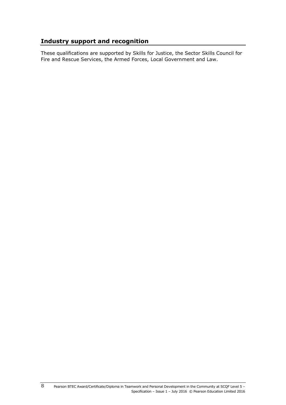### <span id="page-11-0"></span>**Industry support and recognition**

These qualifications are supported by Skills for Justice, the Sector Skills Council for Fire and Rescue Services, the Armed Forces, Local Government and Law.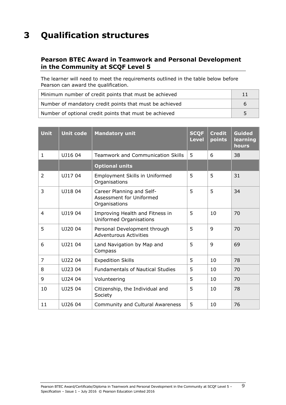# <span id="page-12-0"></span>**3 Qualification structures**

#### <span id="page-12-1"></span>**Pearson BTEC Award in Teamwork and Personal Development in the Community at SCQF Level 5**

The learner will need to meet the requirements outlined in the table below before Pearson can award the qualification.

| Minimum number of credit points that must be achieved   |  |
|---------------------------------------------------------|--|
| Number of mandatory credit points that must be achieved |  |
| Number of optional credit points that must be achieved  |  |

| <b>Unit</b>    | <b>Unit code</b> | <b>Mandatory unit</b>                                                  | <b>SCQF</b><br><b>Level</b> | <b>Credit</b><br>points | <b>Guided</b><br>learning<br>hours |
|----------------|------------------|------------------------------------------------------------------------|-----------------------------|-------------------------|------------------------------------|
| $\mathbf{1}$   | UJ16 04          | <b>Teamwork and Communication Skills</b>                               | 5                           | 6                       | 38                                 |
|                |                  | <b>Optional units</b>                                                  |                             |                         |                                    |
| 2              | UJ17 04          | Employment Skills in Uniformed<br>Organisations                        | 5                           | 5                       | 31                                 |
| 3              | UJ18 04          | Career Planning and Self-<br>Assessment for Uniformed<br>Organisations | 5                           | 5                       | 34                                 |
| 4              | UJ19 04          | Improving Health and Fitness in<br>Uniformed Organisations             | 5                           | 10                      | 70                                 |
| 5              | UJ20 04          | Personal Development through<br><b>Adventurous Activities</b>          | 5                           | 9                       | 70                                 |
| 6              | UJ21 04          | Land Navigation by Map and<br>Compass                                  | 5                           | 9                       | 69                                 |
| $\overline{7}$ | UJ22 04          | <b>Expedition Skills</b>                                               | 5                           | 10                      | 78                                 |
| 8              | UJ23 04          | <b>Fundamentals of Nautical Studies</b>                                | 5                           | 10                      | 70                                 |
| 9              | UJ24 04          | Volunteering                                                           | 5                           | 10                      | 70                                 |
| 10             | UJ25 04          | Citizenship, the Individual and<br>Society                             | 5                           | 10                      | 78                                 |
| 11             | UJ26 04          | <b>Community and Cultural Awareness</b>                                | 5                           | 10                      | 76                                 |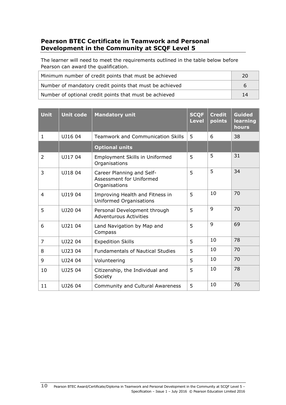#### <span id="page-13-0"></span>**Pearson BTEC Certificate in Teamwork and Personal Development in the Community at SCQF Level 5**

The learner will need to meet the requirements outlined in the table below before Pearson can award the qualification.

| Minimum number of credit points that must be achieved   | 20 |
|---------------------------------------------------------|----|
| Number of mandatory credit points that must be achieved |    |
| Number of optional credit points that must be achieved  | 14 |

| <b>Unit</b>    | <b>Unit code</b> | <b>Mandatory unit</b>                                                  | <b>SCQF</b><br><b>Level</b> | <b>Credit</b><br>points | <b>Guided</b><br>learning<br>hours |
|----------------|------------------|------------------------------------------------------------------------|-----------------------------|-------------------------|------------------------------------|
| $\mathbf{1}$   | UJ16 04          | <b>Teamwork and Communication Skills</b>                               | 5                           | 6                       | 38                                 |
|                |                  | <b>Optional units</b>                                                  |                             |                         |                                    |
| $\overline{2}$ | UJ17 04          | Employment Skills in Uniformed<br>Organisations                        | 5                           | 5                       | 31                                 |
| 3              | UJ18 04          | Career Planning and Self-<br>Assessment for Uniformed<br>Organisations | 5                           | 5                       | 34                                 |
| 4              | UJ19 04          | Improving Health and Fitness in<br>Uniformed Organisations             | 5                           | 10                      | 70                                 |
| 5              | UJ20 04          | Personal Development through<br><b>Adventurous Activities</b>          | 5                           | 9                       | 70                                 |
| 6              | UJ21 04          | Land Navigation by Map and<br>Compass                                  | 5                           | 9                       | 69                                 |
| $\overline{7}$ | UJ22 04          | <b>Expedition Skills</b>                                               | 5                           | 10                      | 78                                 |
| 8              | UJ23 04          | <b>Fundamentals of Nautical Studies</b>                                | 5                           | 10                      | 70                                 |
| 9              | UJ24 04          | Volunteering                                                           | 5                           | 10                      | 70                                 |
| 10             | UJ25 04          | Citizenship, the Individual and<br>Society                             | 5                           | 10                      | 78                                 |
| 11             | UJ26 04          | <b>Community and Cultural Awareness</b>                                | 5                           | 10                      | 76                                 |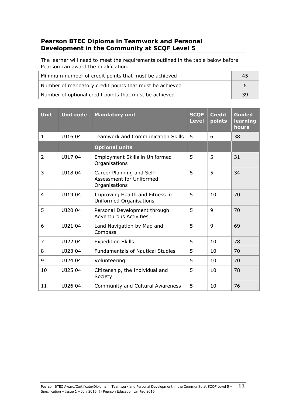### <span id="page-14-0"></span>**Pearson BTEC Diploma in Teamwork and Personal Development in the Community at SCQF Level 5**

The learner will need to meet the requirements outlined in the table below before Pearson can award the qualification.

| Minimum number of credit points that must be achieved   | 45  |
|---------------------------------------------------------|-----|
| Number of mandatory credit points that must be achieved |     |
| Number of optional credit points that must be achieved  | -39 |

| <b>Unit</b>    | <b>Unit code</b> | <b>Mandatory unit</b>                                                  | <b>SCQF</b><br><b>Level</b> | <b>Credit</b><br>points | <b>Guided</b><br>learning<br>hours |
|----------------|------------------|------------------------------------------------------------------------|-----------------------------|-------------------------|------------------------------------|
| $\mathbf{1}$   | UJ16 04          | <b>Teamwork and Communication Skills</b>                               | 5                           | 6                       | 38                                 |
|                |                  | <b>Optional units</b>                                                  |                             |                         |                                    |
| $\overline{2}$ | UJ17 04          | Employment Skills in Uniformed<br>Organisations                        | 5                           | 5                       | 31                                 |
| 3              | UJ18 04          | Career Planning and Self-<br>Assessment for Uniformed<br>Organisations | 5                           | 5                       | 34                                 |
| 4              | UJ19 04          | Improving Health and Fitness in<br>Uniformed Organisations             | 5                           | 10                      | 70                                 |
| 5              | UJ20 04          | Personal Development through<br><b>Adventurous Activities</b>          | 5                           | 9                       | 70                                 |
| 6              | UJ21 04          | Land Navigation by Map and<br>Compass                                  | 5                           | 9                       | 69                                 |
| $\overline{7}$ | UJ22 04          | <b>Expedition Skills</b>                                               | 5                           | 10                      | 78                                 |
| 8              | UJ23 04          | <b>Fundamentals of Nautical Studies</b>                                | 5                           | 10                      | 70                                 |
| 9              | UJ24 04          | Volunteering                                                           | 5                           | 10                      | 70                                 |
| 10             | UJ25 04          | Citizenship, the Individual and<br>Society                             | 5                           | 10                      | 78                                 |
| 11             | UJ26 04          | <b>Community and Cultural Awareness</b>                                | 5                           | 10                      | 76                                 |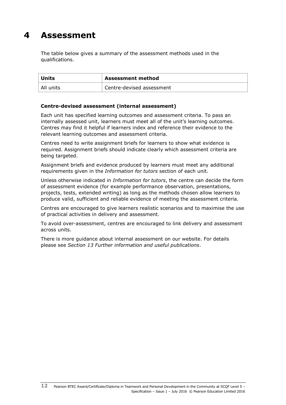# <span id="page-15-0"></span>**4 Assessment**

The table below gives a summary of the assessment methods used in the qualifications.

| Units     | <b>Assessment method</b>  |
|-----------|---------------------------|
| All units | Centre-devised assessment |

#### **Centre-devised assessment (internal assessment)**

Each unit has specified learning outcomes and assessment criteria. To pass an internally assessed unit, learners must meet all of the unit's learning outcomes. Centres may find it helpful if learners index and reference their evidence to the relevant learning outcomes and assessment criteria.

Centres need to write assignment briefs for learners to show what evidence is required. Assignment briefs should indicate clearly which assessment criteria are being targeted.

Assignment briefs and evidence produced by learners must meet any additional requirements given in the *Information for tutors* section of each unit.

Unless otherwise indicated in *Information for tutors*, the centre can decide the form of assessment evidence (for example performance observation, presentations, projects, tests, extended writing) as long as the methods chosen allow learners to produce valid, sufficient and reliable evidence of meeting the assessment criteria.

Centres are encouraged to give learners realistic scenarios and to maximise the use of practical activities in delivery and assessment.

To avoid over-assessment, centres are encouraged to link delivery and assessment across units.

There is more guidance about internal assessment on our website. For details please see *Section 13 Further information and useful publications*.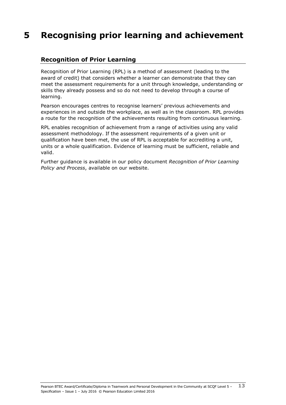### <span id="page-16-0"></span>**5 Recognising prior learning and achievement**

#### <span id="page-16-1"></span>**Recognition of Prior Learning**

Recognition of Prior Learning (RPL) is a method of assessment (leading to the award of credit) that considers whether a learner can demonstrate that they can meet the assessment requirements for a unit through knowledge, understanding or skills they already possess and so do not need to develop through a course of learning.

Pearson encourages centres to recognise learners' previous achievements and experiences in and outside the workplace, as well as in the classroom. RPL provides a route for the recognition of the achievements resulting from continuous learning.

RPL enables recognition of achievement from a range of activities using any valid assessment methodology. If the assessment requirements of a given unit or qualification have been met, the use of RPL is acceptable for accrediting a unit, units or a whole qualification. Evidence of learning must be sufficient, reliable and valid.

Further guidance is available in our policy document *Recognition of Prior Learning Policy and Process*, available on our website.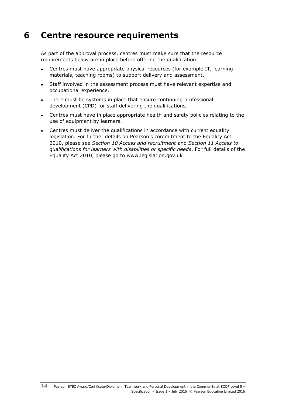# <span id="page-17-0"></span>**6 Centre resource requirements**

As part of the approval process, centres must make sure that the resource requirements below are in place before offering the qualification.

- Centres must have appropriate physical resources (for example IT, learning materials, teaching rooms) to support delivery and assessment.
- Staff involved in the assessment process must have relevant expertise and occupational experience.
- There must be systems in place that ensure continuing professional development (CPD) for staff delivering the qualifications.
- Centres must have in place appropriate health and safety policies relating to the use of equipment by learners.
- Centres must deliver the qualifications in accordance with current equality legislation. For further details on Pearson's commitment to the Equality Act 2010, please see *Section 10 Access and recruitment* and *Section 11 Access to qualifications for learners with disabilities or specific needs*. For full details of the Equality Act 2010, please go to www.legislation.gov.uk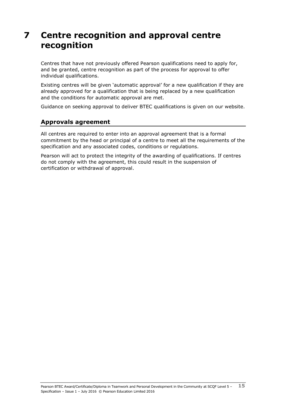### <span id="page-18-0"></span>**7 Centre recognition and approval centre recognition**

Centres that have not previously offered Pearson qualifications need to apply for, and be granted, centre recognition as part of the process for approval to offer individual qualifications.

Existing centres will be given 'automatic approval' for a new qualification if they are already approved for a qualification that is being replaced by a new qualification and the conditions for automatic approval are met.

<span id="page-18-1"></span>Guidance on seeking approval to deliver BTEC qualifications is given on our website.

#### **Approvals agreement**

All centres are required to enter into an approval agreement that is a formal commitment by the head or principal of a centre to meet all the requirements of the specification and any associated codes, conditions or regulations.

Pearson will act to protect the integrity of the awarding of qualifications. If centres do not comply with the agreement, this could result in the suspension of certification or withdrawal of approval.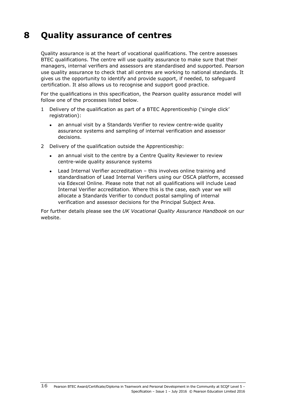# <span id="page-19-0"></span>**8 Quality assurance of centres**

Quality assurance is at the heart of vocational qualifications. The centre assesses BTEC qualifications. The centre will use quality assurance to make sure that their managers, internal verifiers and assessors are standardised and supported. Pearson use quality assurance to check that all centres are working to national standards. It gives us the opportunity to identify and provide support, if needed, to safeguard certification. It also allows us to recognise and support good practice.

For the qualifications in this specification, the Pearson quality assurance model will follow one of the processes listed below.

- 1 Delivery of the qualification as part of a BTEC Apprenticeship ('single click' registration):
	- an annual visit by a Standards Verifier to review centre-wide quality assurance systems and sampling of internal verification and assessor decisions.
- 2 Delivery of the qualification outside the Apprenticeship:
	- an annual visit to the centre by a Centre Quality Reviewer to review centre-wide quality assurance systems
	- Lead Internal Verifier accreditation this involves online training and standardisation of Lead Internal Verifiers using our OSCA platform, accessed via Edexcel Online. Please note that not all qualifications will include Lead Internal Verifier accreditation. Where this is the case, each year we will allocate a Standards Verifier to conduct postal sampling of internal verification and assessor decisions for the Principal Subject Area.

For further details please see the *UK Vocational Quality Assurance Handbook* [on](http://www.edexcel.com/quals/BTEC/quality/Pages/documents.aspx) our website.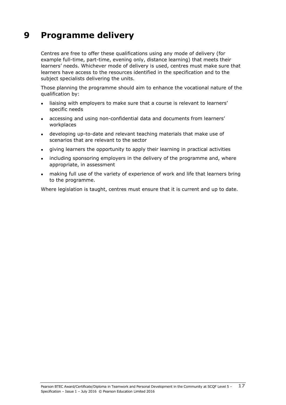# <span id="page-20-0"></span>**9 Programme delivery**

Centres are free to offer these qualifications using any mode of delivery (for example full-time, part-time, evening only, distance learning) that meets their learners' needs. Whichever mode of delivery is used, centres must make sure that learners have access to the resources identified in the specification and to the subject specialists delivering the units.

Those planning the programme should aim to enhance the vocational nature of the qualification by:

- liaising with employers to make sure that a course is relevant to learners' specific needs
- accessing and using non-confidential data and documents from learners' workplaces
- developing up-to-date and relevant teaching materials that make use of scenarios that are relevant to the sector
- giving learners the opportunity to apply their learning in practical activities
- including sponsoring employers in the delivery of the programme and, where appropriate, in assessment
- making full use of the variety of experience of work and life that learners bring to the programme.

Where legislation is taught, centres must ensure that it is current and up to date.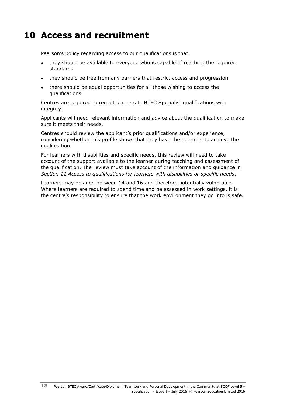### <span id="page-21-0"></span>**10 Access and recruitment**

Pearson's policy regarding access to our qualifications is that:

- they should be available to everyone who is capable of reaching the required standards
- they should be free from any barriers that restrict access and progression
- there should be equal opportunities for all those wishing to access the qualifications.

Centres are required to recruit learners to BTEC Specialist qualifications with integrity.

Applicants will need relevant information and advice about the qualification to make sure it meets their needs.

Centres should review the applicant's prior qualifications and/or experience, considering whether this profile shows that they have the potential to achieve the qualification.

For learners with disabilities and specific needs, this review will need to take account of the support available to the learner during teaching and assessment of the qualification. The review must take account of the information and guidance in *Section 11 Access to qualifications for learners with disabilities or specific needs*.

Learners may be aged between 14 and 16 and therefore potentially vulnerable. Where learners are required to spend time and be assessed in work settings, it is the centre's responsibility to ensure that the work environment they go into is safe.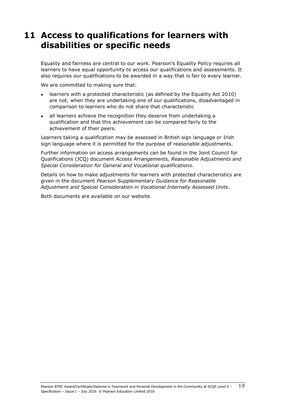### <span id="page-22-0"></span>**11 Access to qualifications for learners with disabilities or specific needs**

Equality and fairness are central to our work. Pearson's Equality Policy requires all learners to have equal opportunity to access our qualifications and assessments. It also requires our qualifications to be awarded in a way that is fair to every learner.

We are committed to making sure that:

- learners with a protected characteristic (as defined by the Equality Act 2010) are not, when they are undertaking one of our qualifications, disadvantaged in comparison to learners who do not share that characteristic
- all learners achieve the recognition they deserve from undertaking a qualification and that this achievement can be compared fairly to the achievement of their peers.

Learners taking a qualification may be assessed in British sign language or Irish sign language where it is permitted for the purpose of reasonable adjustments.

Further information on access arrangements can be found in the Joint Council for Qualifications (JCQ) document *Access Arrangements, Reasonable Adjustments and Special Consideration for General and Vocational qualifications*.

Details on how to make adjustments for learners with protected characteristics are given in the document *Pearson Supplementary Guidance for Reasonable Adjustment and Special Consideration in Vocational Internally Assessed Units*.

Both documents are available on our website.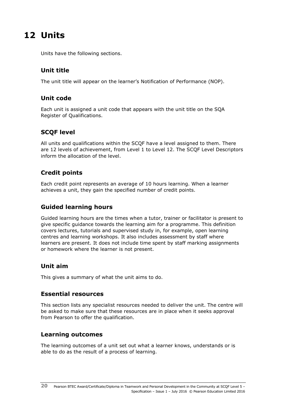# <span id="page-23-0"></span>**12 Units**

<span id="page-23-1"></span>Units have the following sections.

### **Unit title**

<span id="page-23-2"></span>The unit title will appear on the learner's Notification of Performance (NOP).

### **Unit code**

Each unit is assigned a unit code that appears with the unit title on the SQA Register of Qualifications.

### <span id="page-23-3"></span>**SCQF level**

All units and qualifications within the SCQF have a level assigned to them. There are 12 levels of achievement, from Level 1 to Level 12. The SCQF Level Descriptors inform the allocation of the level.

### <span id="page-23-4"></span>**Credit points**

Each credit point represents an average of 10 hours learning. When a learner achieves a unit, they gain the specified number of credit points.

#### <span id="page-23-5"></span>**Guided learning hours**

Guided learning hours are the times when a tutor, trainer or facilitator is present to give specific guidance towards the learning aim for a programme. This definition covers lectures, tutorials and supervised study in, for example, open learning centres and learning workshops. It also includes assessment by staff where learners are present. It does not include time spent by staff marking assignments or homework where the learner is not present.

#### <span id="page-23-6"></span>**Unit aim**

<span id="page-23-7"></span>This gives a summary of what the unit aims to do.

#### **Essential resources**

This section lists any specialist resources needed to deliver the unit. The centre will be asked to make sure that these resources are in place when it seeks approval from Pearson to offer the qualification.

#### <span id="page-23-8"></span>**Learning outcomes**

The learning outcomes of a unit set out what a learner knows, understands or is able to do as the result of a process of learning.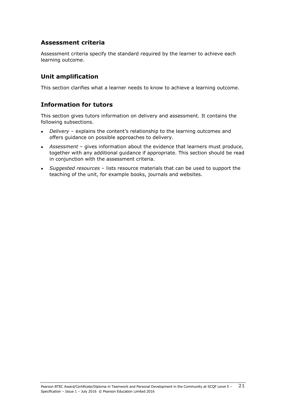#### <span id="page-24-0"></span>**Assessment criteria**

Assessment criteria specify the standard required by the learner to achieve each learning outcome.

#### <span id="page-24-1"></span>**Unit amplification**

<span id="page-24-2"></span>This section clarifies what a learner needs to know to achieve a learning outcome.

#### **Information for tutors**

This section gives tutors information on delivery and assessment. It contains the following subsections.

- *Delivery* explains the content's relationship to the learning outcomes and offers guidance on possible approaches to delivery.
- *Assessment* gives information about the evidence that learners must produce, together with any additional guidance if appropriate. This section should be read in conjunction with the assessment criteria.
- *Suggested resources* lists resource materials that can be used to support the teaching of the unit, for example books, journals and websites.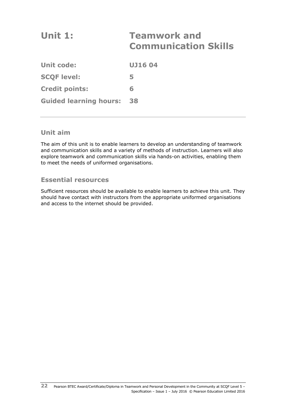<span id="page-25-0"></span>

| Unit $1:$                     | <b>Teamwork and</b><br><b>Communication Skills</b> |
|-------------------------------|----------------------------------------------------|
| Unit code:                    | <b>UJ1604</b>                                      |
| <b>SCOF level:</b>            | 5                                                  |
| <b>Credit points:</b>         | 6                                                  |
| <b>Guided learning hours:</b> | 38                                                 |

#### **Unit aim**

The aim of this unit is to enable learners to develop an understanding of teamwork and communication skills and a variety of methods of instruction. Learners will also explore teamwork and communication skills via hands-on activities, enabling them to meet the needs of uniformed organisations.

#### **Essential resources**

Sufficient resources should be available to enable learners to achieve this unit. They should have contact with instructors from the appropriate uniformed organisations and access to the internet should be provided.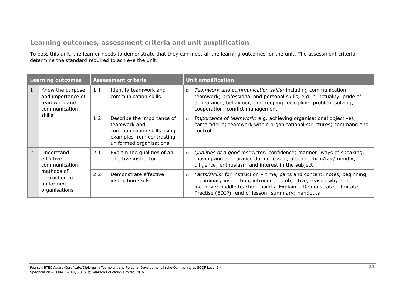### **Learning outcomes, assessment criteria and unit amplification**

To pass this unit, the learner needs to demonstrate that they can meet all the learning outcomes for the unit. The assessment criteria determine the standard required to achieve the unit.

| <b>Learning outcomes</b> |                                                                                                        | <b>Assessment criteria</b> |                                                                                                                                  | <b>Unit amplification</b> |                                                                                                                                                                                                                                                                             |  |
|--------------------------|--------------------------------------------------------------------------------------------------------|----------------------------|----------------------------------------------------------------------------------------------------------------------------------|---------------------------|-----------------------------------------------------------------------------------------------------------------------------------------------------------------------------------------------------------------------------------------------------------------------------|--|
| 1                        | Know the purpose<br>and importance of<br>teamwork and<br>communication<br>skills                       | 1.1                        | Identify teamwork and<br>communication skills                                                                                    | $\Box$                    | Teamwork and communication skills: including communication;<br>teamwork; professional and personal skills, e.g. punctuality, pride of<br>appearance, behaviour, timekeeping; discipline; problem solving;<br>cooperation; conflict management                               |  |
|                          |                                                                                                        | 1.2                        | Describe the importance of<br>teamwork and<br>communication skills using<br>examples from contrasting<br>uniformed organisations | $\Box$                    | Importance of teamwork: e.g. achieving organisational objectives;<br>camaraderie; teamwork within organisational structures; command and<br>control                                                                                                                         |  |
| $\overline{2}$           | Understand<br>effective<br>communication<br>methods of<br>instruction in<br>uniformed<br>organisations | 2.1                        | Explain the qualities of an<br>effective instructor                                                                              | $\Box$                    | Qualities of a good instructor: confidence; manner; ways of speaking,<br>moving and appearance during lesson; attitude; firm/fair/friendly;<br>diligence; enthusiasm and interest in the subject                                                                            |  |
|                          |                                                                                                        | 2.2                        | Demonstrate effective<br>instruction skills                                                                                      | $\Box$                    | Facts/skills: for instruction - time, parts and content, notes, beginning,<br>preliminary instruction, introduction, objective, reason why and<br>incentive; middle teaching points; Explain - Demonstrate - Imitate -<br>Practise (EDIP); end of lesson; summary; handouts |  |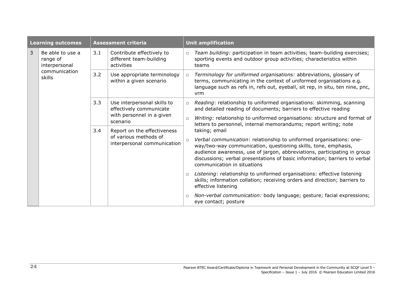| <b>Learning outcomes</b> |                                                                          | <b>Assessment criteria</b>                                                                 |                                                                                                 |                                                                                               | <b>Unit amplification</b>                                                                                                                                                                                                                                                                                                      |  |  |
|--------------------------|--------------------------------------------------------------------------|--------------------------------------------------------------------------------------------|-------------------------------------------------------------------------------------------------|-----------------------------------------------------------------------------------------------|--------------------------------------------------------------------------------------------------------------------------------------------------------------------------------------------------------------------------------------------------------------------------------------------------------------------------------|--|--|
| 3                        | Be able to use a<br>range of<br>interpersonal<br>communication<br>skills | 3.1                                                                                        | Contribute effectively to<br>different team-building<br>activities                              | $\Box$                                                                                        | Team building: participation in team activities; team-building exercises;<br>sporting events and outdoor group activities; characteristics within<br>teams                                                                                                                                                                     |  |  |
|                          |                                                                          | 3.2                                                                                        | Use appropriate terminology<br>within a given scenario                                          | $\Box$                                                                                        | Terminology for uniformed organisations: abbreviations, glossary of<br>terms, communicating in the context of uniformed organisations e.g.<br>language such as refs in, refs out, eyeball, sit rep, in situ, ten nine, pnc,<br>vrm                                                                                             |  |  |
|                          |                                                                          | 3.3                                                                                        | Use interpersonal skills to<br>effectively communicate<br>with personnel in a given<br>scenario | $\Box$                                                                                        | Reading: relationship to uniformed organisations: skimming, scanning<br>and detailed reading of documents; barriers to effective reading                                                                                                                                                                                       |  |  |
|                          |                                                                          |                                                                                            |                                                                                                 | $\Box$                                                                                        | Writing: relationship to uniformed organisations: structure and format of<br>letters to personnel, internal memorandums; report writing; note                                                                                                                                                                                  |  |  |
|                          |                                                                          | Report on the effectiveness<br>3.4<br>of various methods of<br>interpersonal communication |                                                                                                 |                                                                                               | taking; email                                                                                                                                                                                                                                                                                                                  |  |  |
|                          |                                                                          |                                                                                            |                                                                                                 | $\Box$                                                                                        | Verbal communication: relationship to uniformed organisations: one-<br>way/two-way communication, questioning skills, tone, emphasis,<br>audience awareness, use of jargon, abbreviations, participating in group<br>discussions; verbal presentations of basic information; barriers to verbal<br>communication in situations |  |  |
|                          |                                                                          |                                                                                            |                                                                                                 | $\Box$                                                                                        | Listening: relationship to uniformed organisations: effective listening<br>skills; information collation; receiving orders and direction; barriers to<br>effective listening                                                                                                                                                   |  |  |
|                          |                                                                          |                                                                                            | $\Box$                                                                                          | Non-verbal communication: body language; gesture; facial expressions;<br>eye contact; posture |                                                                                                                                                                                                                                                                                                                                |  |  |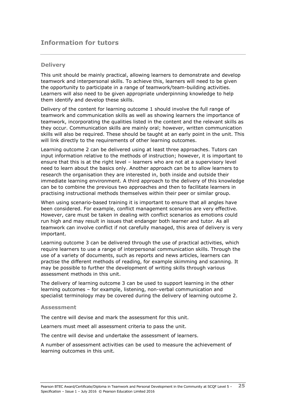### **Information for tutors**

#### **Delivery**

This unit should be mainly practical, allowing learners to demonstrate and develop teamwork and interpersonal skills. To achieve this, learners will need to be given the opportunity to participate in a range of teamwork/team-building activities. Learners will also need to be given appropriate underpinning knowledge to help them identify and develop these skills.

Delivery of the content for learning outcome 1 should involve the full range of teamwork and communication skills as well as showing learners the importance of teamwork, incorporating the qualities listed in the content and the relevant skills as they occur. Communication skills are mainly oral; however, written communication skills will also be required. These should be taught at an early point in the unit. This will link directly to the requirements of other learning outcomes.

Learning outcome 2 can be delivered using at least three approaches. Tutors can input information relative to the methods of instruction; however, it is important to ensure that this is at the right level – learners who are not at a supervisory level need to learn about the basics only. Another approach can be to allow learners to research the organisation they are interested in, both inside and outside their immediate learning environment. A third approach to the delivery of this knowledge can be to combine the previous two approaches and then to facilitate learners in practising instructional methods themselves within their peer or similar group.

When using scenario-based training it is important to ensure that all angles have been considered. For example, conflict management scenarios are very effective. However, care must be taken in dealing with conflict scenarios as emotions could run high and may result in issues that endanger both learner and tutor. As all teamwork can involve conflict if not carefully managed, this area of delivery is very important.

Learning outcome 3 can be delivered through the use of practical activities, which require learners to use a range of interpersonal communication skills. Through the use of a variety of documents, such as reports and news articles, learners can practise the different methods of reading, for example skimming and scanning. It may be possible to further the development of writing skills through various assessment methods in this unit.

The delivery of learning outcome 3 can be used to support learning in the other learning outcomes – for example, listening, non-verbal communication and specialist terminology may be covered during the delivery of learning outcome 2.

#### **Assessment**

The centre will devise and mark the assessment for this unit.

Learners must meet all assessment criteria to pass the unit.

The centre will devise and undertake the assessment of learners.

A number of assessment activities can be used to measure the achievement of learning outcomes in this unit.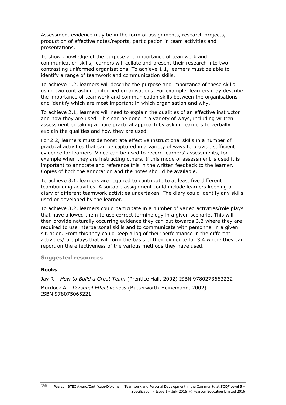Assessment evidence may be in the form of assignments, research projects, production of effective notes/reports, participation in team activities and presentations.

To show knowledge of the purpose and importance of teamwork and communication skills, learners will collate and present their research into two contrasting uniformed organisations. To achieve 1.1, learners must be able to identify a range of teamwork and communication skills.

To achieve 1.2, learners will describe the purpose and importance of these skills using two contrasting uniformed organisations. For example, learners may describe the importance of teamwork and communication skills between the organisations and identify which are most important in which organisation and why.

To achieve 2.1, learners will need to explain the qualities of an effective instructor and how they are used. This can be done in a variety of ways, including written assessment or taking a more practical approach by asking learners to verbally explain the qualities and how they are used.

For 2.2, learners must demonstrate effective instructional skills in a number of practical activities that can be captured in a variety of ways to provide sufficient evidence for learners. Video can be used to record learners' assessments, for example when they are instructing others. If this mode of assessment is used it is important to annotate and reference this in the written feedback to the learner. Copies of both the annotation and the notes should be available.

To achieve 3.1, learners are required to contribute to at least five different teambuilding activities. A suitable assignment could include learners keeping a diary of different teamwork activities undertaken. The diary could identify any skills used or developed by the learner.

To achieve 3.2, learners could participate in a number of varied activities/role plays that have allowed them to use correct terminology in a given scenario. This will then provide naturally occurring evidence they can put towards 3.3 where they are required to use interpersonal skills and to communicate with personnel in a given situation. From this they could keep a log of their performance in the different activities/role plays that will form the basis of their evidence for 3.4 where they can report on the effectiveness of the various methods they have used.

**Suggested resources**

#### **Books**

Jay R – *How to Build a Great Team* (Prentice Hall, 2002) ISBN 9780273663232

Murdock A – *Personal Effectiveness* (Butterworth-Heinemann, 2002) ISBN 978075065221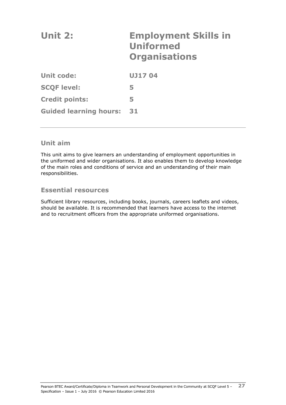<span id="page-30-0"></span>

| Unit $2:$                     | <b>Employment Skills in</b><br><b>Uniformed</b><br><b>Organisations</b> |
|-------------------------------|-------------------------------------------------------------------------|
| Unit code:                    | <b>UJ1704</b>                                                           |
| <b>SCQF level:</b>            | 5                                                                       |
| <b>Credit points:</b>         | 5                                                                       |
| <b>Guided learning hours:</b> | 31                                                                      |

#### **Unit aim**

This unit aims to give learners an understanding of employment opportunities in the uniformed and wider organisations. It also enables them to develop knowledge of the main roles and conditions of service and an understanding of their main responsibilities.

#### **Essential resources**

Sufficient library resources, including books, journals, careers leaflets and videos, should be available. It is recommended that learners have access to the internet and to recruitment officers from the appropriate uniformed organisations.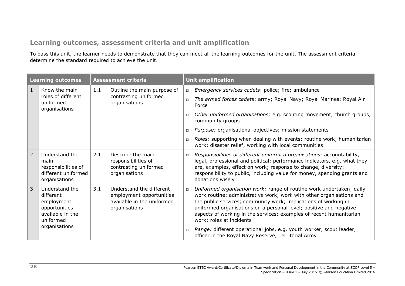### **Learning outcomes, assessment criteria and unit amplification**

To pass this unit, the learner needs to demonstrate that they can meet all the learning outcomes for the unit. The assessment criteria determine the standard required to achieve the unit.

| <b>Learning outcomes</b> |                                                                                             | <b>Assessment criteria</b> |                                                                                                     |        | <b>Unit amplification</b>                                                                                                                                                                                                                                                                                                                                                                |  |  |
|--------------------------|---------------------------------------------------------------------------------------------|----------------------------|-----------------------------------------------------------------------------------------------------|--------|------------------------------------------------------------------------------------------------------------------------------------------------------------------------------------------------------------------------------------------------------------------------------------------------------------------------------------------------------------------------------------------|--|--|
| $\mathbf{1}$             | Know the main<br>roles of different<br>uniformed<br>organisations                           | 1.1                        | Outline the main purpose of<br>contrasting uniformed<br>organisations                               | $\Box$ | Emergency services cadets: police; fire; ambulance                                                                                                                                                                                                                                                                                                                                       |  |  |
|                          |                                                                                             |                            |                                                                                                     | $\Box$ | The armed forces cadets: army; Royal Navy; Royal Marines; Royal Air<br>Force                                                                                                                                                                                                                                                                                                             |  |  |
|                          |                                                                                             |                            |                                                                                                     | $\Box$ | Other uniformed organisations: e.g. scouting movement, church groups,<br>community groups                                                                                                                                                                                                                                                                                                |  |  |
|                          |                                                                                             |                            |                                                                                                     | $\Box$ | Purpose: organisational objectives; mission statements                                                                                                                                                                                                                                                                                                                                   |  |  |
|                          |                                                                                             |                            |                                                                                                     | $\Box$ | Roles: supporting when dealing with events; routine work; humanitarian<br>work; disaster relief; working with local communities                                                                                                                                                                                                                                                          |  |  |
| $\overline{2}$           | Understand the<br>main<br>responsibilities of<br>different uniformed<br>organisations       | 2.1                        | Describe the main<br>responsibilities of<br>contrasting uniformed<br>organisations                  | $\Box$ | Responsibilities of different uniformed organisations: accountability,<br>legal, professional and political; performance indicators, e.g. what they<br>are, examples, effect on work; response to change, diversity;<br>responsibility to public, including value for money, spending grants and<br>donations wisely                                                                     |  |  |
| $\overline{3}$           | Understand the<br>different<br>employment<br>opportunities<br>available in the<br>uniformed | 3.1                        | Understand the different<br>employment opportunities<br>available in the uniformed<br>organisations | $\Box$ | Uniformed organisation work: range of routine work undertaken; daily<br>work routine; administrative work; work with other organisations and<br>the public services; community work; implications of working in<br>uniformed organisations on a personal level; positive and negative<br>aspects of working in the services; examples of recent humanitarian<br>work; roles at incidents |  |  |
|                          | organisations                                                                               |                            |                                                                                                     | $\Box$ | Range: different operational jobs, e.g. youth worker, scout leader,<br>officer in the Royal Navy Reserve, Territorial Army                                                                                                                                                                                                                                                               |  |  |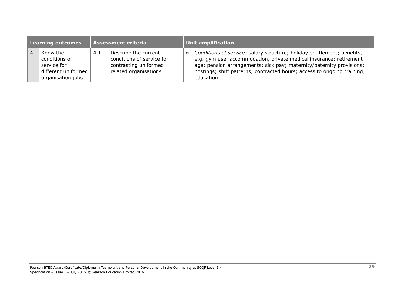| Learning outcomes |                                                                                      | <b>Assessment criteria</b> |                                                                                                     | <b>Unit amplification</b> |                                                                                                                                                                                                                                                                                                               |  |
|-------------------|--------------------------------------------------------------------------------------|----------------------------|-----------------------------------------------------------------------------------------------------|---------------------------|---------------------------------------------------------------------------------------------------------------------------------------------------------------------------------------------------------------------------------------------------------------------------------------------------------------|--|
|                   | Know the<br>conditions of<br>service for<br>different uniformed<br>organisation jobs | 4.1                        | Describe the current<br>conditions of service for<br>contrasting uniformed<br>related organisations | $\Box$                    | Conditions of service: salary structure; holiday entitlement; benefits,<br>e.g. gym use, accommodation, private medical insurance; retirement<br>age; pension arrangements; sick pay; maternity/paternity provisions;<br>postings; shift patterns; contracted hours; access to ongoing training;<br>education |  |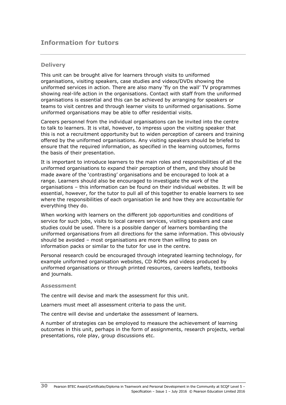### **Information for tutors**

#### **Delivery**

This unit can be brought alive for learners through visits to uniformed organisations, visiting speakers, case studies and videos/DVDs showing the uniformed services in action. There are also many 'fly on the wall' TV programmes showing real-life action in the organisations. Contact with staff from the uniformed organisations is essential and this can be achieved by arranging for speakers or teams to visit centres and through learner visits to uniformed organisations. Some uniformed organisations may be able to offer residential visits.

Careers personnel from the individual organisations can be invited into the centre to talk to learners. It is vital, however, to impress upon the visiting speaker that this is not a recruitment opportunity but to widen perception of careers and training offered by the uniformed organisations. Any visiting speakers should be briefed to ensure that the required information, as specified in the learning outcomes, forms the basis of their presentation.

It is important to introduce learners to the main roles and responsibilities of all the uniformed organisations to expand their perception of them, and they should be made aware of the 'contrasting' organisations and be encouraged to look at a range. Learners should also be encouraged to investigate the work of the organisations – this information can be found on their individual websites. It will be essential, however, for the tutor to pull all of this together to enable learners to see where the responsibilities of each organisation lie and how they are accountable for everything they do.

When working with learners on the different job opportunities and conditions of service for such jobs, visits to local careers services, visiting speakers and case studies could be used. There is a possible danger of learners bombarding the uniformed organisations from all directions for the same information. This obviously should be avoided – most organisations are more than willing to pass on information packs or similar to the tutor for use in the centre.

Personal research could be encouraged through integrated learning technology, for example uniformed organisation websites, CD ROMs and videos produced by uniformed organisations or through printed resources, careers leaflets, textbooks and journals.

#### **Assessment**

The centre will devise and mark the assessment for this unit.

Learners must meet all assessment criteria to pass the unit.

The centre will devise and undertake the assessment of learners.

A number of strategies can be employed to measure the achievement of learning outcomes in this unit, perhaps in the form of assignments, research projects, verbal presentations, role play, group discussions etc.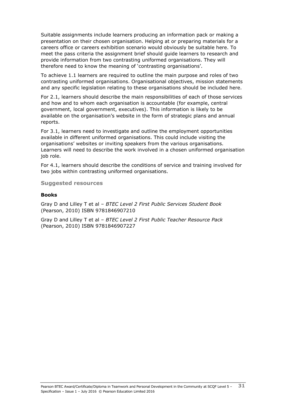Suitable assignments include learners producing an information pack or making a presentation on their chosen organisation. Helping at or preparing materials for a careers office or careers exhibition scenario would obviously be suitable here. To meet the pass criteria the assignment brief should guide learners to research and provide information from two contrasting uniformed organisations. They will therefore need to know the meaning of 'contrasting organisations'.

To achieve 1.1 learners are required to outline the main purpose and roles of two contrasting uniformed organisations. Organisational objectives, mission statements and any specific legislation relating to these organisations should be included here.

For 2.1, learners should describe the main responsibilities of each of those services and how and to whom each organisation is accountable (for example, central government, local government, executives). This information is likely to be available on the organisation's website in the form of strategic plans and annual reports.

For 3.1, learners need to investigate and outline the employment opportunities available in different uniformed organisations. This could include visiting the organisations' websites or inviting speakers from the various organisations. Learners will need to describe the work involved in a chosen uniformed organisation job role.

For 4.1, learners should describe the conditions of service and training involved for two jobs within contrasting uniformed organisations.

**Suggested resources**

#### **Books**

Gray D and Lilley T et al – *BTEC Level 2 First Public Services Student Book* (Pearson, 2010) ISBN 9781846907210

Gray D and Lilley T et al – *BTEC Level 2 First Public Teacher Resource Pack* (Pearson, 2010) ISBN 9781846907227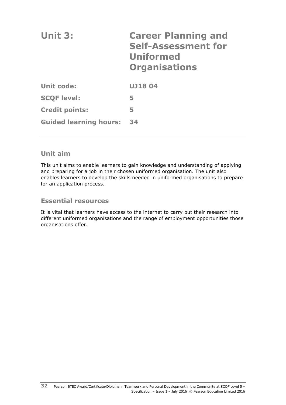<span id="page-35-0"></span>

| Unit 3:                       | <b>Career Planning and</b><br><b>Self-Assessment for</b><br><b>Uniformed</b><br><b>Organisations</b> |
|-------------------------------|------------------------------------------------------------------------------------------------------|
| <b>Unit code:</b>             | <b>UJ1804</b>                                                                                        |
| <b>SCOF level:</b>            | 5                                                                                                    |
| <b>Credit points:</b>         | 5                                                                                                    |
| <b>Guided learning hours:</b> | 34                                                                                                   |

#### **Unit aim**

This unit aims to enable learners to gain knowledge and understanding of applying and preparing for a job in their chosen uniformed organisation. The unit also enables learners to develop the skills needed in uniformed organisations to prepare for an application process.

#### **Essential resources**

It is vital that learners have access to the internet to carry out their research into different uniformed organisations and the range of employment opportunities those organisations offer.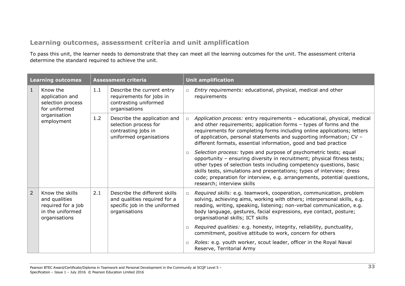| <b>Learning outcomes</b> |                                                                                             | <b>Assessment criteria</b> |                                                                                                                 |        | <b>Unit amplification</b>                                                                                                                                                                                                                                                                                                                                                                                 |  |  |
|--------------------------|---------------------------------------------------------------------------------------------|----------------------------|-----------------------------------------------------------------------------------------------------------------|--------|-----------------------------------------------------------------------------------------------------------------------------------------------------------------------------------------------------------------------------------------------------------------------------------------------------------------------------------------------------------------------------------------------------------|--|--|
| $\mathbf{1}$             | Know the<br>application and<br>selection process<br>for uniformed                           | 1.1                        | Describe the current entry<br>requirements for jobs in<br>contrasting uniformed<br>organisations                | $\Box$ | Entry requirements: educational, physical, medical and other<br>requirements                                                                                                                                                                                                                                                                                                                              |  |  |
|                          | organisation<br>employment                                                                  | 1.2                        | Describe the application and<br>selection process for<br>contrasting jobs in<br>uniformed organisations         | $\Box$ | Application process: entry requirements - educational, physical, medical<br>and other requirements; application forms - types of forms and the<br>requirements for completing forms including online applications; letters<br>of application, personal statements and supporting information; CV -<br>different formats, essential information, good and bad practice                                     |  |  |
|                          |                                                                                             |                            |                                                                                                                 | $\Box$ | Selection process: types and purpose of psychometric tests; equal<br>opportunity - ensuring diversity in recruitment; physical fitness tests;<br>other types of selection tests including competency questions, basic<br>skills tests, simulations and presentations; types of interview; dress<br>code; preparation for interview, e.g. arrangements, potential questions,<br>research; interview skills |  |  |
| $\overline{2}$           | Know the skills<br>and qualities<br>required for a job<br>in the uniformed<br>organisations | 2.1                        | Describe the different skills<br>and qualities required for a<br>specific job in the uniformed<br>organisations | $\Box$ | Required skills: e.g. teamwork, cooperation, communication, problem<br>solving, achieving aims, working with others; interpersonal skills, e.g.<br>reading, writing, speaking, listening; non-verbal communication, e.g.<br>body language, gestures, facial expressions, eye contact, posture;<br>organisational skills; ICT skills                                                                       |  |  |
|                          |                                                                                             |                            |                                                                                                                 | $\Box$ | Required qualities: e.g. honesty, integrity, reliability, punctuality,<br>commitment, positive attitude to work, concern for others                                                                                                                                                                                                                                                                       |  |  |
|                          |                                                                                             |                            |                                                                                                                 | $\Box$ | Roles: e.g. youth worker, scout leader, officer in the Royal Naval<br>Reserve, Territorial Army                                                                                                                                                                                                                                                                                                           |  |  |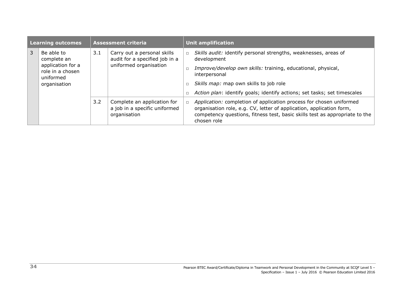| Learning outcomes |                                                                                                 | <b>Assessment criteria</b> |                                                                                         |        | <b>Unit amplification</b>                                                                                                                                                                                                                                                             |  |  |
|-------------------|-------------------------------------------------------------------------------------------------|----------------------------|-----------------------------------------------------------------------------------------|--------|---------------------------------------------------------------------------------------------------------------------------------------------------------------------------------------------------------------------------------------------------------------------------------------|--|--|
| 3                 | Be able to<br>complete an<br>application for a<br>role in a chosen<br>uniformed<br>organisation | 3.1                        | Carry out a personal skills<br>audit for a specified job in a<br>uniformed organisation | $\Box$ | Skills audit: identify personal strengths, weaknesses, areas of<br>development<br>Improve/develop own skills: training, educational, physical,<br>interpersonal<br>Skills map: map own skills to job role<br>Action plan: identify goals; identify actions; set tasks; set timescales |  |  |
|                   |                                                                                                 | 3.2                        | Complete an application for<br>a job in a specific uniformed<br>organisation            | $\Box$ | Application: completion of application process for chosen uniformed<br>organisation role, e.g. CV, letter of application, application form,<br>competency questions, fitness test, basic skills test as appropriate to the<br>chosen role                                             |  |  |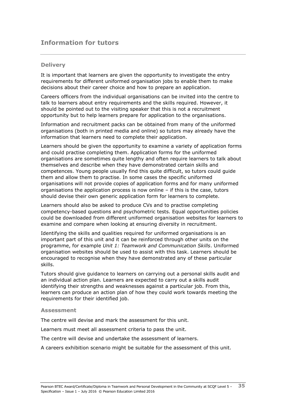#### **Delivery**

It is important that learners are given the opportunity to investigate the entry requirements for different uniformed organisation jobs to enable them to make decisions about their career choice and how to prepare an application.

Careers officers from the individual organisations can be invited into the centre to talk to learners about entry requirements and the skills required. However, it should be pointed out to the visiting speaker that this is not a recruitment opportunity but to help learners prepare for application to the organisations.

Information and recruitment packs can be obtained from many of the uniformed organisations (both in printed media and online) so tutors may already have the information that learners need to complete their application.

Learners should be given the opportunity to examine a variety of application forms and could practise completing them. Application forms for the uniformed organisations are sometimes quite lengthy and often require learners to talk about themselves and describe when they have demonstrated certain skills and competences. Young people usually find this quite difficult, so tutors could guide them and allow them to practise. In some cases the specific uniformed organisations will not provide copies of application forms and for many uniformed organisations the application process is now online – if this is the case, tutors should devise their own generic application form for learners to complete.

Learners should also be asked to produce CVs and to practise completing competency-based questions and psychometric tests. Equal opportunities policies could be downloaded from different uniformed organisation websites for learners to examine and compare when looking at ensuring diversity in recruitment.

Identifying the skills and qualities required for uniformed organisations is an important part of this unit and it can be reinforced through other units on the programme, for example *Unit 1: Teamwork and Communication Skills*. Uniformed organisation websites should be used to assist with this task. Learners should be encouraged to recognise when they have demonstrated any of these particular skills.

Tutors should give guidance to learners on carrying out a personal skills audit and an individual action plan. Learners are expected to carry out a skills audit identifying their strengths and weaknesses against a particular job. From this, learners can produce an action plan of how they could work towards meeting the requirements for their identified job.

#### **Assessment**

The centre will devise and mark the assessment for this unit.

Learners must meet all assessment criteria to pass the unit.

The centre will devise and undertake the assessment of learners.

A careers exhibition scenario might be suitable for the assessment of this unit.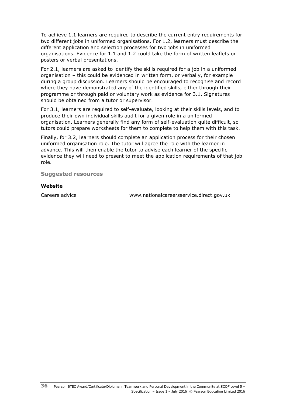To achieve 1.1 learners are required to describe the current entry requirements for two different jobs in uniformed organisations. For 1.2, learners must describe the different application and selection processes for two jobs in uniformed organisations. Evidence for 1.1 and 1.2 could take the form of written leaflets or posters or verbal presentations.

For 2.1, learners are asked to identify the skills required for a job in a uniformed organisation – this could be evidenced in written form, or verbally, for example during a group discussion. Learners should be encouraged to recognise and record where they have demonstrated any of the identified skills, either through their programme or through paid or voluntary work as evidence for 3.1. Signatures should be obtained from a tutor or supervisor.

For 3.1, learners are required to self-evaluate, looking at their skills levels, and to produce their own individual skills audit for a given role in a uniformed organisation. Learners generally find any form of self-evaluation quite difficult, so tutors could prepare worksheets for them to complete to help them with this task.

Finally, for 3.2, learners should complete an application process for their chosen uniformed organisation role. The tutor will agree the role with the learner in advance. This will then enable the tutor to advise each learner of the specific evidence they will need to present to meet the application requirements of that job role.

**Suggested resources**

#### **Website**

Careers advice www.nationalcareersservice.direct.gov.uk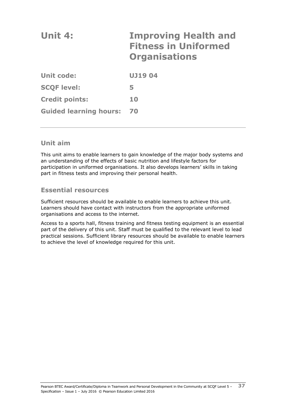| Unit 4:                       | <b>Improving Health and</b><br><b>Fitness in Uniformed</b><br><b>Organisations</b> |
|-------------------------------|------------------------------------------------------------------------------------|
| <b>Unit code:</b>             | <b>UJ1904</b>                                                                      |
| <b>SCOF level:</b>            | 5                                                                                  |
| <b>Credit points:</b>         | 10                                                                                 |
| <b>Guided learning hours:</b> | 70                                                                                 |

### **Unit aim**

This unit aims to enable learners to gain knowledge of the major body systems and an understanding of the effects of basic nutrition and lifestyle factors for participation in uniformed organisations. It also develops learners' skills in taking part in fitness tests and improving their personal health.

### **Essential resources**

Sufficient resources should be available to enable learners to achieve this unit. Learners should have contact with instructors from the appropriate uniformed organisations and access to the internet.

Access to a sports hall, fitness training and fitness testing equipment is an essential part of the delivery of this unit. Staff must be qualified to the relevant level to lead practical sessions. Sufficient library resources should be available to enable learners to achieve the level of knowledge required for this unit.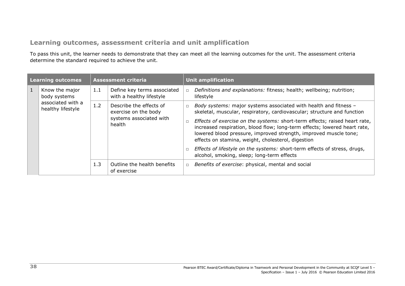| <b>Learning outcomes</b> |                                        | <b>Assessment criteria</b> |                                                                                      |        | <b>Unit amplification</b>                                                                                                                                                                                                                                                         |  |
|--------------------------|----------------------------------------|----------------------------|--------------------------------------------------------------------------------------|--------|-----------------------------------------------------------------------------------------------------------------------------------------------------------------------------------------------------------------------------------------------------------------------------------|--|
| $\mathbf{1}$             | Know the major<br>body systems         | 1.1                        | Define key terms associated<br>with a healthy lifestyle                              | $\Box$ | Definitions and explanations: fitness; health; wellbeing; nutrition;<br>lifestyle                                                                                                                                                                                                 |  |
|                          | associated with a<br>healthy lifestyle | 1.2                        | Describe the effects of<br>exercise on the body<br>systems associated with<br>health | $\Box$ | Body systems: major systems associated with health and fitness -<br>skeletal, muscular, respiratory, cardiovascular; structure and function                                                                                                                                       |  |
|                          |                                        |                            |                                                                                      |        | Effects of exercise on the systems: short-term effects; raised heart rate,<br>increased respiration, blood flow; long-term effects; lowered heart rate,<br>lowered blood pressure, improved strength, improved muscle tone;<br>effects on stamina, weight, cholesterol, digestion |  |
|                          |                                        |                            |                                                                                      |        | Effects of lifestyle on the systems: short-term effects of stress, drugs,<br>alcohol, smoking, sleep; long-term effects                                                                                                                                                           |  |
|                          |                                        | 1.3                        | Outline the health benefits<br>of exercise                                           | $\Box$ | Benefits of exercise: physical, mental and social                                                                                                                                                                                                                                 |  |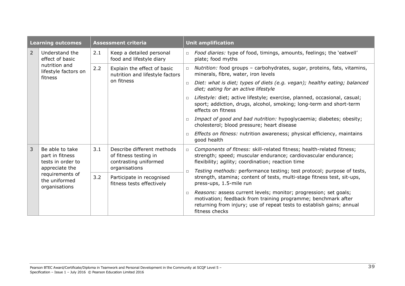|                | <b>Learning outcomes</b>                                |     | <b>Assessment criteria</b>                                                   |        | <b>Unit amplification</b>                                                                                                                                                                                                    |  |
|----------------|---------------------------------------------------------|-----|------------------------------------------------------------------------------|--------|------------------------------------------------------------------------------------------------------------------------------------------------------------------------------------------------------------------------------|--|
| $\overline{2}$ | Understand the<br>effect of basic                       | 2.1 | Keep a detailed personal<br>food and lifestyle diary                         | $\Box$ | Food diaries: type of food, timings, amounts, feelings; the 'eatwell'<br>plate; food myths                                                                                                                                   |  |
|                | nutrition and<br>lifestyle factors on<br>fitness        | 2.2 | Explain the effect of basic<br>nutrition and lifestyle factors               | $\Box$ | Nutrition: food groups - carbohydrates, sugar, proteins, fats, vitamins,<br>minerals, fibre, water, iron levels                                                                                                              |  |
|                |                                                         |     | on fitness                                                                   | $\Box$ | Diet: what is diet; types of diets (e.g. vegan); healthy eating; balanced<br>diet; eating for an active lifestyle                                                                                                            |  |
|                |                                                         |     |                                                                              |        | Lifestyle: diet; active lifestyle; exercise, planned, occasional, casual;<br>sport; addiction, drugs, alcohol, smoking; long-term and short-term<br>effects on fitness                                                       |  |
|                |                                                         |     |                                                                              | $\Box$ | Impact of good and bad nutrition: hypoglycaemia; diabetes; obesity;<br>cholesterol; blood pressure; heart disease                                                                                                            |  |
|                |                                                         |     |                                                                              | $\Box$ | Effects on fitness: nutrition awareness; physical efficiency, maintains<br>good health                                                                                                                                       |  |
| 3              | Be able to take<br>part in fitness<br>tests in order to | 3.1 | Describe different methods<br>of fitness testing in<br>contrasting uniformed | $\Box$ | Components of fitness: skill-related fitness; health-related fitness;<br>strength; speed; muscular endurance; cardiovascular endurance;<br>flexibility; agility; coordination; reaction time                                 |  |
|                | appreciate the<br>requirements of                       |     | organisations                                                                | $\Box$ | Testing methods: performance testing; test protocol; purpose of tests,                                                                                                                                                       |  |
|                | the uniformed<br>organisations                          | 3.2 | Participate in recognised<br>fitness tests effectively                       |        | strength, stamina; content of tests, multi-stage fitness test, sit-ups,<br>press-ups, 1.5-mile run                                                                                                                           |  |
|                |                                                         |     |                                                                              | $\Box$ | Reasons: assess current levels; monitor; progression; set goals;<br>motivation; feedback from training programme; benchmark after<br>returning from injury; use of repeat tests to establish gains; annual<br>fitness checks |  |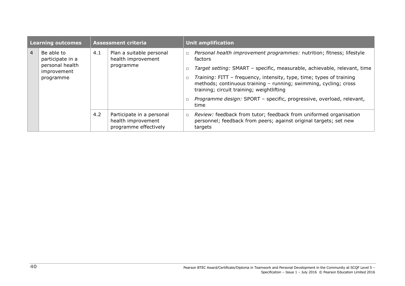| Learning outcomes |                                | <b>Assessment criteria</b>                                         |                                                                          | <b>Unit amplification</b>                                                                                                                                                             |  |
|-------------------|--------------------------------|--------------------------------------------------------------------|--------------------------------------------------------------------------|---------------------------------------------------------------------------------------------------------------------------------------------------------------------------------------|--|
| $\overline{4}$    | Be able to<br>participate in a | Plan a suitable personal<br>4.1<br>health improvement<br>programme |                                                                          | Personal health improvement programmes: nutrition; fitness; lifestyle<br>factors                                                                                                      |  |
|                   | personal health<br>improvement |                                                                    |                                                                          | Target setting: SMART - specific, measurable, achievable, relevant, time                                                                                                              |  |
|                   | programme                      |                                                                    |                                                                          | Training: FITT - frequency, intensity, type, time; types of training<br>methods; continuous training - running; swimming, cycling; cross<br>training; circuit training; weightlifting |  |
|                   |                                |                                                                    |                                                                          | Programme design: SPORT - specific, progressive, overload, relevant,<br>time                                                                                                          |  |
|                   |                                | 4.2                                                                | Participate in a personal<br>health improvement<br>programme effectively | <i>Review:</i> feedback from tutor; feedback from uniformed organisation<br>personnel; feedback from peers; against original targets; set new<br>targets                              |  |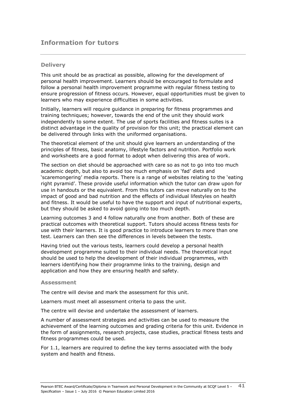#### **Delivery**

This unit should be as practical as possible, allowing for the development of personal health improvement. Learners should be encouraged to formulate and follow a personal health improvement programme with regular fitness testing to ensure progression of fitness occurs. However, equal opportunities must be given to learners who may experience difficulties in some activities.

Initially, learners will require guidance in preparing for fitness programmes and training techniques; however, towards the end of the unit they should work independently to some extent. The use of sports facilities and fitness suites is a distinct advantage in the quality of provision for this unit; the practical element can be delivered through links with the uniformed organisations.

The theoretical element of the unit should give learners an understanding of the principles of fitness, basic anatomy, lifestyle factors and nutrition. Portfolio work and worksheets are a good format to adopt when delivering this area of work.

The section on diet should be approached with care so as not to go into too much academic depth, but also to avoid too much emphasis on 'fad' diets and 'scaremongering' media reports. There is a range of websites relating to the 'eating right pyramid'. These provide useful information which the tutor can draw upon for use in handouts or the equivalent. From this tutors can move naturally on to the impact of good and bad nutrition and the effects of individual lifestyles on health and fitness. It would be useful to have the support and input of nutritional experts, but they should be asked to avoid going into too much depth.

Learning outcomes 3 and 4 follow naturally one from another. Both of these are practical outcomes with theoretical support. Tutors should access fitness tests for use with their learners. It is good practice to introduce learners to more than one test. Learners can then see the differences in levels between the tests.

Having tried out the various tests, learners could develop a personal health development programme suited to their individual needs. The theoretical input should be used to help the development of their individual programmes, with learners identifying how their programme links to the training, design and application and how they are ensuring health and safety.

#### **Assessment**

The centre will devise and mark the assessment for this unit.

Learners must meet all assessment criteria to pass the unit.

The centre will devise and undertake the assessment of learners.

A number of assessment strategies and activities can be used to measure the achievement of the learning outcomes and grading criteria for this unit. Evidence in the form of assignments, research projects, case studies, practical fitness tests and fitness programmes could be used.

For 1.1, learners are required to define the key terms associated with the body system and health and fitness.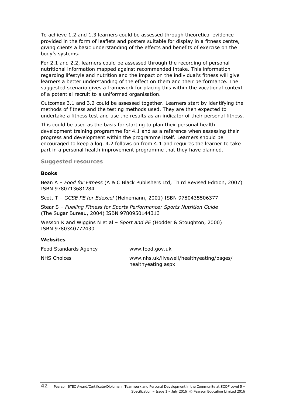To achieve 1.2 and 1.3 learners could be assessed through theoretical evidence provided in the form of leaflets and posters suitable for display in a fitness centre, giving clients a basic understanding of the effects and benefits of exercise on the body's systems.

For 2.1 and 2.2, learners could be assessed through the recording of personal nutritional information mapped against recommended intake. This information regarding lifestyle and nutrition and the impact on the individual's fitness will give learners a better understanding of the effect on them and their performance. The suggested scenario gives a framework for placing this within the vocational context of a potential recruit to a uniformed organisation.

Outcomes 3.1 and 3.2 could be assessed together. Learners start by identifying the methods of fitness and the testing methods used. They are then expected to undertake a fitness test and use the results as an indicator of their personal fitness.

This could be used as the basis for starting to plan their personal health development training programme for 4.1 and as a reference when assessing their progress and development within the programme itself. Learners should be encouraged to keep a log. 4.2 follows on from 4.1 and requires the learner to take part in a personal health improvement programme that they have planned.

#### **Suggested resources**

#### **Books**

Bean A – *Food for Fitness* (A & C Black Publishers Ltd, Third Revised Edition, 2007) ISBN 9780713681284

Scott T – *GCSE PE for Edexcel* (Heinemann, 2001) ISBN 9780435506377

Stear S – *Fuelling Fitness for Sports Performance: Sports Nutrition Guide* (The Sugar Bureau, 2004) ISBN 9780950144313

Wesson K and Wiggins N et al – *Sport and PE* (Hodder & Stoughton, 2000) ISBN 9780340772430

#### **Websites**

Food Standards Agency www.food.gov.uk NHS Choices www.nhs.uk/livewell/healthyeating/pages/ healthyeating.aspx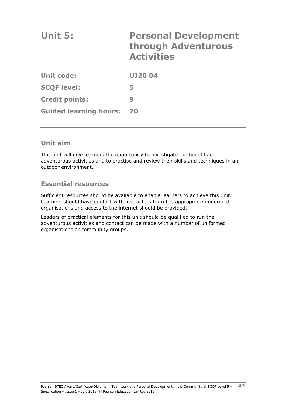| Unit 5:                       | <b>Personal Development</b><br>through Adventurous<br><b>Activities</b> |
|-------------------------------|-------------------------------------------------------------------------|
| <b>Unit code:</b>             | <b>UJ2004</b>                                                           |
| <b>SCQF level:</b>            | 5                                                                       |
| <b>Credit points:</b>         | 9                                                                       |
| <b>Guided learning hours:</b> | 70                                                                      |

# **Unit aim**

This unit will give learners the opportunity to investigate the benefits of adventurous activities and to practise and review their skills and techniques in an outdoor environment.

### **Essential resources**

Sufficient resources should be available to enable learners to achieve this unit. Learners should have contact with instructors from the appropriate uniformed organisations and access to the internet should be provided.

Leaders of practical elements for this unit should be qualified to run the adventurous activities and contact can be made with a number of uniformed organisations or community groups.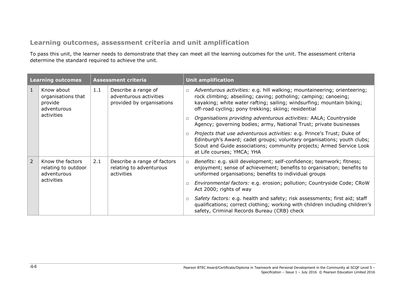| <b>Learning outcomes</b> |                                                            | <b>Assessment criteria</b> |                                                                            |        | <b>Unit amplification</b>                                                                                                                                                                                                                                                    |  |
|--------------------------|------------------------------------------------------------|----------------------------|----------------------------------------------------------------------------|--------|------------------------------------------------------------------------------------------------------------------------------------------------------------------------------------------------------------------------------------------------------------------------------|--|
| 1                        | Know about<br>organisations that<br>provide<br>adventurous | 1.1                        | Describe a range of<br>adventurous activities<br>provided by organisations | $\Box$ | Adventurous activities: e.g. hill walking; mountaineering; orienteering;<br>rock climbing; abseiling; caving; potholing; camping; canoeing;<br>kayaking; white water rafting; sailing; windsurfing; mountain biking;<br>off-road cycling; pony trekking; skiing; residential |  |
|                          | activities                                                 |                            |                                                                            |        | Organisations providing adventurous activities: AALA; Countryside<br>Agency; governing bodies; army, National Trust; private businesses                                                                                                                                      |  |
|                          |                                                            |                            |                                                                            | $\Box$ | <i>Projects that use adventurous activities: e.g. Prince's Trust; Duke of</i><br>Edinburgh's Award; cadet groups; voluntary organisations; youth clubs;<br>Scout and Guide associations; community projects; Armed Service Look<br>at Life courses; YMCA; YHA                |  |
| $\overline{2}$           | Know the factors<br>relating to outdoor<br>adventurous     | 2.1                        | Describe a range of factors<br>relating to adventurous<br>activities       | $\Box$ | Benefits: e.g. skill development; self-confidence; teamwork; fitness;<br>enjoyment; sense of achievement; benefits to organisation; benefits to<br>uniformed organisations; benefits to individual groups                                                                    |  |
|                          | activities                                                 |                            |                                                                            |        | Environmental factors: e.g. erosion; pollution; Countryside Code; CRoW<br>Act 2000; rights of way                                                                                                                                                                            |  |
|                          |                                                            |                            |                                                                            |        | Safety factors: e.g. health and safety; risk assessments; first aid; staff<br>qualifications; correct clothing; working with children including children's<br>safety, Criminal Records Bureau (CRB) check                                                                    |  |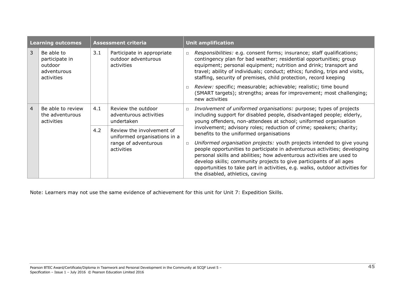| <b>Learning outcomes</b> |                                                                      | <b>Assessment criteria</b>                                        |                                                                                                 |                  | <b>Unit amplification</b>                                                                                                                                                                                                                                                                                                                                                                                                                                                                                                                |  |
|--------------------------|----------------------------------------------------------------------|-------------------------------------------------------------------|-------------------------------------------------------------------------------------------------|------------------|------------------------------------------------------------------------------------------------------------------------------------------------------------------------------------------------------------------------------------------------------------------------------------------------------------------------------------------------------------------------------------------------------------------------------------------------------------------------------------------------------------------------------------------|--|
| 3                        | Be able to<br>participate in<br>outdoor<br>adventurous<br>activities | 3.1                                                               | Participate in appropriate<br>outdoor adventurous<br>activities                                 | $\Box$           | Responsibilities: e.g. consent forms; insurance; staff qualifications;<br>contingency plan for bad weather; residential opportunities; group<br>equipment; personal equipment; nutrition and drink; transport and<br>travel; ability of individuals; conduct; ethics; funding, trips and visits,<br>staffing, security of premises, child protection, record keeping                                                                                                                                                                     |  |
|                          |                                                                      |                                                                   |                                                                                                 |                  | Review: specific; measurable; achievable; realistic; time bound<br>(SMART targets); strengths; areas for improvement; most challenging;<br>new activities                                                                                                                                                                                                                                                                                                                                                                                |  |
| $\overline{4}$           | Be able to review<br>the adventurous<br>activities                   | 4.1<br>Review the outdoor<br>adventurous activities<br>undertaken |                                                                                                 | $\Box$<br>$\Box$ | Involvement of uniformed organisations: purpose; types of projects<br>including support for disabled people, disadvantaged people; elderly,<br>young offenders, non-attendees at school; uniformed organisation                                                                                                                                                                                                                                                                                                                          |  |
|                          |                                                                      | 4.2                                                               | Review the involvement of<br>uniformed organisations in a<br>range of adventurous<br>activities |                  | involvement; advisory roles; reduction of crime; speakers; charity;<br>benefits to the uniformed organisations<br>Uniformed organisation projects: youth projects intended to give young<br>people opportunities to participate in adventurous activities; developing<br>personal skills and abilities; how adventurous activities are used to<br>develop skills; community projects to give participants of all ages<br>opportunities to take part in activities, e.g. walks, outdoor activities for<br>the disabled, athletics, caving |  |

Note: Learners may not use the same evidence of achievement for this unit for Unit 7: Expedition Skills.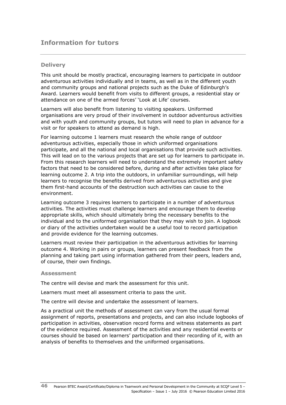#### **Delivery**

This unit should be mostly practical, encouraging learners to participate in outdoor adventurous activities individually and in teams, as well as in the different youth and community groups and national projects such as the Duke of Edinburgh's Award. Learners would benefit from visits to different groups, a residential stay or attendance on one of the armed forces' 'Look at Life' courses.

Learners will also benefit from listening to visiting speakers. Uniformed organisations are very proud of their involvement in outdoor adventurous activities and with youth and community groups, but tutors will need to plan in advance for a visit or for speakers to attend as demand is high.

For learning outcome 1 learners must research the whole range of outdoor adventurous activities, especially those in which uniformed organisations participate, and all the national and local organisations that provide such activities. This will lead on to the various projects that are set up for learners to participate in. From this research learners will need to understand the extremely important safety factors that need to be considered before, during and after activities take place for learning outcome 2. A trip into the outdoors, in unfamiliar surroundings, will help learners to recognise the benefits derived from adventurous activities and give them first-hand accounts of the destruction such activities can cause to the environment.

Learning outcome 3 requires learners to participate in a number of adventurous activities. The activities must challenge learners and encourage them to develop appropriate skills, which should ultimately bring the necessary benefits to the individual and to the uniformed organisation that they may wish to join. A logbook or diary of the activities undertaken would be a useful tool to record participation and provide evidence for the learning outcomes.

Learners must review their participation in the adventurous activities for learning outcome 4. Working in pairs or groups, learners can present feedback from the planning and taking part using information gathered from their peers, leaders and, of course, their own findings.

#### **Assessment**

The centre will devise and mark the assessment for this unit.

Learners must meet all assessment criteria to pass the unit.

The centre will devise and undertake the assessment of learners.

As a practical unit the methods of assessment can vary from the usual formal assignment of reports, presentations and projects, and can also include logbooks of participation in activities, observation record forms and witness statements as part of the evidence required. Assessment of the activities and any residential events or courses should be based on learners' participation and their recording of it, with an analysis of benefits to themselves and the uniformed organisations.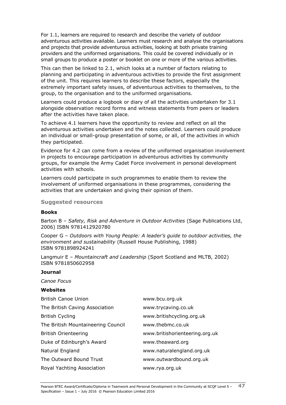For 1.1, learners are required to research and describe the variety of outdoor adventurous activities available. Learners must research and analyse the organisations and projects that provide adventurous activities, looking at both private training providers and the uniformed organisations. This could be covered individually or in small groups to produce a poster or booklet on one or more of the various activities.

This can then be linked to 2.1, which looks at a number of factors relating to planning and participating in adventurous activities to provide the first assignment of the unit. This requires learners to describe these factors, especially the extremely important safety issues, of adventurous activities to themselves, to the group, to the organisation and to the uniformed organisations.

Learners could produce a logbook or diary of all the activities undertaken for 3.1 alongside observation record forms and witness statements from peers or leaders after the activities have taken place.

To achieve 4.1 learners have the opportunity to review and reflect on all the adventurous activities undertaken and the notes collected. Learners could produce an individual or small-group presentation of some, or all, of the activities in which they participated.

Evidence for 4.2 can come from a review of the uniformed organisation involvement in projects to encourage participation in adventurous activities by community groups, for example the Army Cadet Force involvement in personal development activities with schools.

Learners could participate in such programmes to enable them to review the involvement of uniformed organisations in these programmes, considering the activities that are undertaken and giving their opinion of them.

#### **Suggested resources**

#### **Books**

Barton B – *Safety, Risk and Adventure in Outdoor Activities* (Sage Publications Ltd, 2006) ISBN 9781412920780

Cooper G – *Outdoors with Young People: A leader's guide to outdoor activities, the environment and sustainability* (Russell House Publishing, 1988) ISBN 9781898924241

Langmuir E – *Mountaincraft and Leadership* (Sport Scotland and MLTB, 2002) ISBN 9781850602958

#### **Journal**

*Canoe Focus*

#### **Websites**

| <b>British Canoe Union</b>         | www.bcu.org.uk                 |
|------------------------------------|--------------------------------|
| The British Caving Association     | www.trycaving.co.uk            |
| <b>British Cycling</b>             | www.britishcycling.org.uk      |
| The British Mountaineering Council | www.thebmc.co.uk               |
| <b>British Orienteering</b>        | www.britishorienteering.org.uk |
| Duke of Edinburgh's Award          | www.theaward.org               |
| Natural England                    | www.naturalengland.org.uk      |
| The Outward Bound Trust            | www.outwardbound.org.uk        |
| Royal Yachting Association         | www.rya.org.uk                 |
|                                    |                                |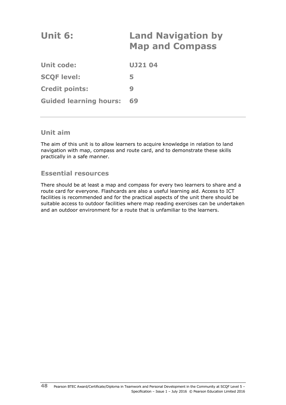| Unit 6:                       | <b>Land Navigation by</b><br><b>Map and Compass</b> |
|-------------------------------|-----------------------------------------------------|
| <b>Unit code:</b>             | <b>UJ2104</b>                                       |
| <b>SCOF level:</b>            | 5                                                   |
| <b>Credit points:</b>         | 9                                                   |
| <b>Guided learning hours:</b> | 69                                                  |

### **Unit aim**

The aim of this unit is to allow learners to acquire knowledge in relation to land navigation with map, compass and route card, and to demonstrate these skills practically in a safe manner.

## **Essential resources**

There should be at least a map and compass for every two learners to share and a route card for everyone. Flashcards are also a useful learning aid. Access to ICT facilities is recommended and for the practical aspects of the unit there should be suitable access to outdoor facilities where map reading exercises can be undertaken and an outdoor environment for a route that is unfamiliar to the learners.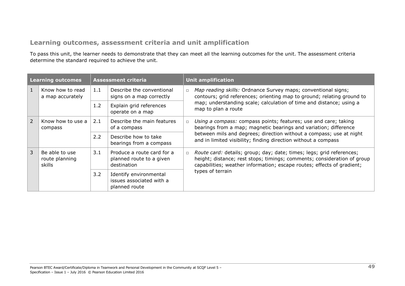| <b>Learning outcomes</b> |                                            | <b>Assessment criteria</b> |                                                                       |                            | Unit amplification                                                                                                                                                                                                        |  |
|--------------------------|--------------------------------------------|----------------------------|-----------------------------------------------------------------------|----------------------------|---------------------------------------------------------------------------------------------------------------------------------------------------------------------------------------------------------------------------|--|
|                          | Know how to read<br>a map accurately       | 1.1                        | Describe the conventional<br>signs on a map correctly                 | $\Box$                     | Map reading skills: Ordnance Survey maps; conventional signs;<br>contours; grid references; orienting map to ground; relating ground to                                                                                   |  |
|                          |                                            | 1.2                        | Explain grid references<br>operate on a map                           |                            | map; understanding scale; calculation of time and distance; using a<br>map to plan a route                                                                                                                                |  |
| $\overline{2}$           | Know how to use a<br>compass               | 2.1                        | Describe the main features<br>of a compass                            | $\Box$                     | Using a compass: compass points; features; use and care; taking<br>bearings from a map; magnetic bearings and variation; difference                                                                                       |  |
|                          |                                            | 2.2                        | Describe how to take<br>bearings from a compass                       |                            | between mils and degrees; direction without a compass; use at night<br>and in limited visibility; finding direction without a compass                                                                                     |  |
| 3                        | Be able to use<br>route planning<br>skills | 3.1                        | Produce a route card for a<br>planned route to a given<br>destination | $\Box$<br>types of terrain | Route card: details; group; day; date; times; legs; grid references;<br>height; distance; rest stops; timings; comments; consideration of group<br>capabilities; weather information; escape routes; effects of gradient; |  |
|                          |                                            | 3.2                        | Identify environmental<br>issues associated with a<br>planned route   |                            |                                                                                                                                                                                                                           |  |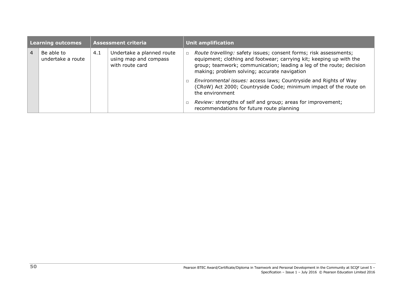| <b>Learning outcomes</b> |                                 | <b>Assessment criteria</b> |                                                                       |                  | <b>Unit amplification</b>                                                                                                                                                                                                                                                                                                            |  |
|--------------------------|---------------------------------|----------------------------|-----------------------------------------------------------------------|------------------|--------------------------------------------------------------------------------------------------------------------------------------------------------------------------------------------------------------------------------------------------------------------------------------------------------------------------------------|--|
| 4                        | Be able to<br>undertake a route | 4.1                        | Undertake a planned route<br>using map and compass<br>with route card | $\Box$<br>$\Box$ | Route travelling: safety issues; consent forms; risk assessments;<br>equipment; clothing and footwear; carrying kit; keeping up with the<br>group; teamwork; communication; leading a leg of the route; decision<br>making; problem solving; accurate navigation<br>Environmental issues: access laws; Countryside and Rights of Way |  |
|                          |                                 |                            |                                                                       |                  | (CRoW) Act 2000; Countryside Code; minimum impact of the route on<br>the environment                                                                                                                                                                                                                                                 |  |
|                          |                                 |                            |                                                                       | $\Box$           | Review: strengths of self and group; areas for improvement;<br>recommendations for future route planning                                                                                                                                                                                                                             |  |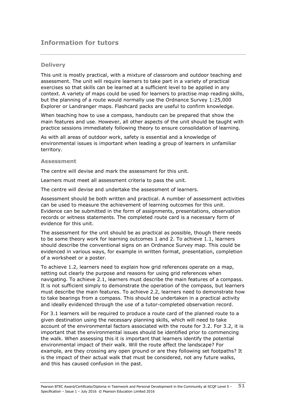#### **Delivery**

This unit is mostly practical, with a mixture of classroom and outdoor teaching and assessment. The unit will require learners to take part in a variety of practical exercises so that skills can be learned at a sufficient level to be applied in any context. A variety of maps could be used for learners to practise map reading skills, but the planning of a route would normally use the Ordnance Survey 1:25,000 Explorer or Landranger maps. Flashcard packs are useful to confirm knowledge.

When teaching how to use a compass, handouts can be prepared that show the main features and use. However, all other aspects of the unit should be taught with practice sessions immediately following theory to ensure consolidation of learning.

As with all areas of outdoor work, safety is essential and a knowledge of environmental issues is important when leading a group of learners in unfamiliar territory.

#### **Assessment**

The centre will devise and mark the assessment for this unit.

Learners must meet all assessment criteria to pass the unit.

The centre will devise and undertake the assessment of learners.

Assessment should be both written and practical. A number of assessment activities can be used to measure the achievement of learning outcomes for this unit. Evidence can be submitted in the form of assignments, presentations, observation records or witness statements. The completed route card is a necessary form of evidence for this unit.

The assessment for the unit should be as practical as possible, though there needs to be some theory work for learning outcomes 1 and 2. To achieve 1.1, learners should describe the conventional signs on an Ordnance Survey map. This could be evidenced in various ways, for example in written format, presentation, completion of a worksheet or a poster.

To achieve 1.2, learners need to explain how grid references operate on a map, setting out clearly the purpose and reasons for using grid references when navigating. To achieve 2.1, learners must describe the main features of a compass. It is not sufficient simply to demonstrate the operation of the compass, but learners must describe the main features. To achieve 2.2, learners need to demonstrate how to take bearings from a compass. This should be undertaken in a practical activity and ideally evidenced through the use of a tutor-completed observation record.

For 3.1 learners will be required to produce a route card of the planned route to a given destination using the necessary planning skills, which will need to take account of the environmental factors associated with the route for 3.2. For 3.2, it is important that the environmental issues should be identified prior to commencing the walk. When assessing this it is important that learners identify the potential environmental impact of their walk. Will the route affect the landscape? For example, are they crossing any open ground or are they following set footpaths? It is the impact of their actual walk that must be considered, not any future walks, and this has caused confusion in the past.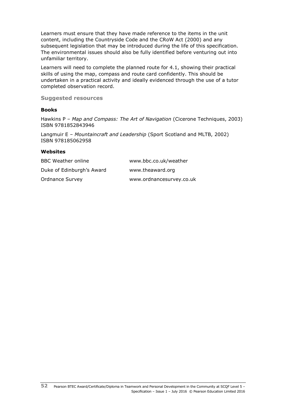Learners must ensure that they have made reference to the items in the unit content, including the Countryside Code and the CRoW Act (2000) and any subsequent legislation that may be introduced during the life of this specification. The environmental issues should also be fully identified before venturing out into unfamiliar territory.

Learners will need to complete the planned route for 4.1, showing their practical skills of using the map, compass and route card confidently. This should be undertaken in a practical activity and ideally evidenced through the use of a tutor completed observation record.

#### **Suggested resources**

#### **Books**

Hawkins P – *Map and Compass: The Art of Navigation* (Cicerone Techniques, 2003) ISBN 9781852843946

Langmuir E – *Mountaincraft and Leadership* (Sport Scotland and MLTB, 2002) ISBN 978185062958

#### **Websites**

| <b>BBC Weather online</b> | www.bbc.co.uk/weather    |
|---------------------------|--------------------------|
| Duke of Edinburgh's Award | www.theaward.org         |
| <b>Ordnance Survey</b>    | www.ordnancesurvey.co.uk |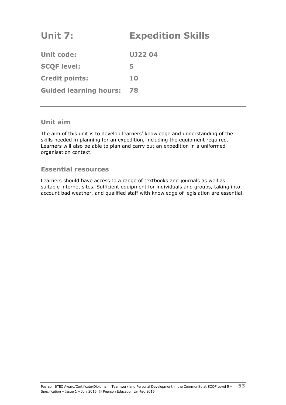# **Unit 7: Expedition Skills**

| <b>Unit code:</b>             | <b>UJ2204</b> |
|-------------------------------|---------------|
| <b>SCOF level:</b>            | 5             |
| <b>Credit points:</b>         | 10            |
| <b>Guided learning hours:</b> | 78            |

### **Unit aim**

The aim of this unit is to develop learners' knowledge and understanding of the skills needed in planning for an expedition, including the equipment required. Learners will also be able to plan and carry out an expedition in a uniformed organisation context.

## **Essential resources**

Learners should have access to a range of textbooks and journals as well as suitable internet sites. Sufficient equipment for individuals and groups, taking into account bad weather, and qualified staff with knowledge of legislation are essential.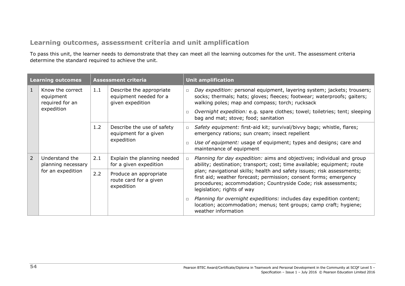| <b>Learning outcomes</b> |                                                                | <b>Assessment criteria</b> |                                                                        |        | <b>Unit amplification</b>                                                                                                                                                                                                                   |  |
|--------------------------|----------------------------------------------------------------|----------------------------|------------------------------------------------------------------------|--------|---------------------------------------------------------------------------------------------------------------------------------------------------------------------------------------------------------------------------------------------|--|
| 1                        | Know the correct<br>equipment<br>required for an<br>expedition | 1.1                        | Describe the appropriate<br>equipment needed for a<br>given expedition | $\Box$ | Day expedition: personal equipment, layering system; jackets; trousers;<br>socks; thermals; hats; gloves; fleeces; footwear; waterproofs; gaiters;<br>walking poles; map and compass; torch; rucksack                                       |  |
|                          |                                                                |                            |                                                                        |        | Overnight expedition: e.g. spare clothes; towel; toiletries; tent; sleeping<br>bag and mat; stove; food; sanitation                                                                                                                         |  |
|                          |                                                                | 1.2                        | Describe the use of safety<br>equipment for a given<br>expedition      | $\Box$ | Safety equipment: first-aid kit; survival/bivvy bags; whistle, flares;<br>emergency rations; sun cream; insect repellent                                                                                                                    |  |
|                          |                                                                |                            |                                                                        |        | Use of equipment: usage of equipment; types and designs; care and<br>maintenance of equipment                                                                                                                                               |  |
| $\overline{2}$           | Understand the<br>planning necessary<br>for an expedition      | 2.1                        | Explain the planning needed<br>for a given expedition                  | $\Box$ | Planning for day expedition: aims and objectives; individual and group<br>ability; destination; transport; cost; time available; equipment; route                                                                                           |  |
|                          |                                                                | 2.2                        | Produce an appropriate<br>route card for a given<br>expedition         |        | plan; navigational skills; health and safety issues; risk assessments;<br>first aid; weather forecast; permission; consent forms; emergency<br>procedures; accommodation; Countryside Code; risk assessments;<br>legislation; rights of way |  |
|                          |                                                                |                            |                                                                        |        | Planning for overnight expeditions: includes day expedition content;<br>location; accommodation; menus; tent groups; camp craft; hygiene;<br>weather information                                                                            |  |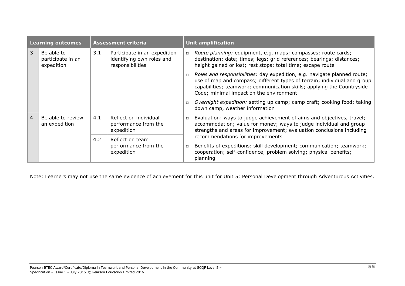| <b>Learning outcomes</b> |                                               | <b>Assessment criteria</b> |                                                                               |        | <b>Unit amplification</b>                                                                                                                                                                                                                                                 |  |  |
|--------------------------|-----------------------------------------------|----------------------------|-------------------------------------------------------------------------------|--------|---------------------------------------------------------------------------------------------------------------------------------------------------------------------------------------------------------------------------------------------------------------------------|--|--|
| 3                        | Be able to<br>participate in an<br>expedition | 3.1                        | Participate in an expedition<br>identifying own roles and<br>responsibilities | $\Box$ | Route planning: equipment, e.g. maps; compasses; route cards;<br>destination; date; times; legs; grid references; bearings; distances;<br>height gained or lost; rest stops; total time; escape route                                                                     |  |  |
|                          |                                               |                            |                                                                               |        | Roles and responsibilities: day expedition, e.g. navigate planned route;<br>use of map and compass; different types of terrain; individual and group<br>capabilities; teamwork; communication skills; applying the Countryside<br>Code; minimal impact on the environment |  |  |
|                          |                                               |                            |                                                                               |        | Overnight expedition: setting up camp; camp craft; cooking food; taking<br>down camp, weather information                                                                                                                                                                 |  |  |
| $\overline{4}$           | Be able to review<br>an expedition            | 4.1                        | Reflect on individual<br>performance from the<br>expedition                   | $\Box$ | Evaluation: ways to judge achievement of aims and objectives, travel;<br>accommodation; value for money; ways to judge individual and group<br>strengths and areas for improvement; evaluation conclusions including                                                      |  |  |
|                          |                                               | 4.2                        | Reflect on team                                                               |        | recommendations for improvements                                                                                                                                                                                                                                          |  |  |
|                          |                                               |                            | performance from the<br>expedition                                            | $\Box$ | Benefits of expeditions: skill development; communication; teamwork;<br>cooperation; self-confidence; problem solving; physical benefits;<br>planning                                                                                                                     |  |  |

Note: Learners may not use the same evidence of achievement for this unit for Unit 5: Personal Development through Adventurous Activities.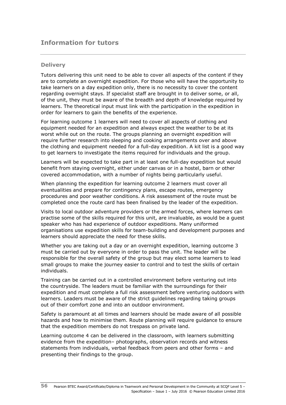#### **Delivery**

Tutors delivering this unit need to be able to cover all aspects of the content if they are to complete an overnight expedition. For those who will have the opportunity to take learners on a day expedition only, there is no necessity to cover the content regarding overnight stays. If specialist staff are brought in to deliver some, or all, of the unit, they must be aware of the breadth and depth of knowledge required by learners. The theoretical input must link with the participation in the expedition in order for learners to gain the benefits of the experience.

For learning outcome 1 learners will need to cover all aspects of clothing and equipment needed for an expedition and always expect the weather to be at its worst while out on the route. The groups planning an overnight expedition will require further research into sleeping and cooking arrangements over and above the clothing and equipment needed for a full-day expedition. A kit list is a good way to get learners to investigate the items required for individuals and the group.

Learners will be expected to take part in at least one full-day expedition but would benefit from staying overnight, either under canvas or in a hostel, barn or other covered accommodation, with a number of nights being particularly useful.

When planning the expedition for learning outcome 2 learners must cover all eventualities and prepare for contingency plans, escape routes, emergency procedures and poor weather conditions. A risk assessment of the route must be completed once the route card has been finalised by the leader of the expedition.

Visits to local outdoor adventure providers or the armed forces, where learners can practise some of the skills required for this unit, are invaluable, as would be a guest speaker who has had experience of outdoor expeditions. Many uniformed organisations use expedition skills for team-building and development purposes and learners should appreciate the need for these skills.

Whether you are taking out a day or an overnight expedition, learning outcome 3 must be carried out by everyone in order to pass the unit. The leader will be responsible for the overall safety of the group but may elect some learners to lead small groups to make the journey easier to control and to test the skills of certain individuals.

Training can be carried out in a controlled environment before venturing out into the countryside. The leaders must be familiar with the surroundings for their expedition and must complete a full risk assessment before venturing outdoors with learners. Leaders must be aware of the strict guidelines regarding taking groups out of their comfort zone and into an outdoor environment.

Safety is paramount at all times and learners should be made aware of all possible hazards and how to minimise them. Route planning will require guidance to ensure that the expedition members do not trespass on private land.

Learning outcome 4 can be delivered in the classroom, with learners submitting evidence from the expedition– photographs, observation records and witness statements from individuals, verbal feedback from peers and other forms – and presenting their findings to the group.

Pearson BTEC Award/Certificate/Diploma in Teamwork and Personal Development in the Community at SCQF Level 5 – **56** Specification – Issue 1 – July 2016 © Pearson Education Limited 2016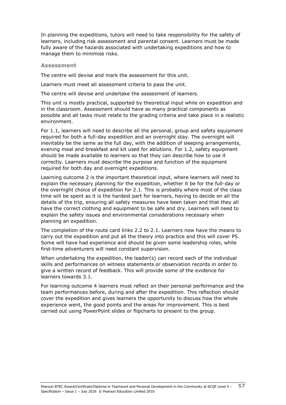In planning the expeditions, tutors will need to take responsibility for the safety of learners, including risk assessment and parental consent. Learners must be made fully aware of the hazards associated with undertaking expeditions and how to manage them to minimise risks.

#### **Assessment**

The centre will devise and mark the assessment for this unit.

Learners must meet all assessment criteria to pass the unit.

The centre will devise and undertake the assessment of learners.

This unit is mostly practical, supported by theoretical input while on expedition and in the classroom. Assessment should have as many practical components as possible and all tasks must relate to the grading criteria and take place in a realistic environment.

For 1.1, learners will need to describe all the personal, group and safety equipment required for both a full-day expedition and an overnight stay. The overnight will inevitably be the same as the full day, with the addition of sleeping arrangements, evening meal and breakfast and kit used for ablutions. For 1.2, safety equipment should be made available to learners so that they can describe how to use it correctly. Learners must describe the purpose and function of the equipment required for both day and overnight expeditions.

Learning outcome 2 is the important theoretical input, where learners will need to explain the necessary planning for the expedition, whether it be for the full-day or the overnight choice of expedition for 2.1. This is probably where most of the class time will be spent as it is the hardest part for learners, having to decide on all the details of the trip, ensuring all safety measures have been taken and that they all have the correct clothing and equipment to be safe and dry. Learners will need to explain the safety issues and environmental considerations necessary when planning an expedition.

The completion of the route card links 2.2 to 2.1. Learners now have the means to carry out the expedition and put all the theory into practice and this will cover P5. Some will have had experience and should be given some leadership roles, while first-time adventurers will need constant supervision.

When undertaking the expedition, the leader(s) can record each of the individual skills and performances on witness statements or observation records in order to give a written record of feedback. This will provide some of the evidence for learners towards 3.1.

For learning outcome 4 learners must reflect on their personal performance and the team performances before, during and after the expedition. This reflection should cover the expedition and gives learners the opportunity to discuss how the whole experience went, the good points and the areas for improvement. This is best carried out using PowerPoint slides or flipcharts to present to the group.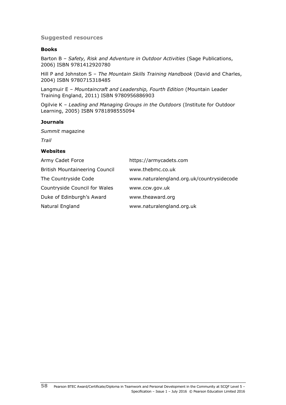#### **Suggested resources**

#### **Books**

Barton B – *Safety, Risk and Adventure in Outdoor Activities* (Sage Publications, 2006) ISBN 9781412920780

Hill P and Johnston S – *The Mountain Skills Training Handbook* (David and Charles, 2004) ISBN 9780715318485

Langmuir E – *Mountaincraft and Leadership, Fourth Edition* (Mountain Leader Training England, 2011) ISBN 9780956886903

Ogilvie K – *Leading and Managing Groups in the Outdoors* (Institute for Outdoor Learning, 2005) ISBN 9781898555094

#### **Journals**

*Summit* magazine

*Trail*

#### **Websites**

| Army Cadet Force                      | https://armycadets.com                    |
|---------------------------------------|-------------------------------------------|
| <b>British Mountaineering Council</b> | www.thebmc.co.uk                          |
| The Countryside Code                  | www.naturalengland.org.uk/countrysidecode |
| Countryside Council for Wales         | www.ccw.gov.uk                            |
| Duke of Edinburgh's Award             | www.theaward.org                          |
| Natural England                       | www.naturalengland.org.uk                 |
|                                       |                                           |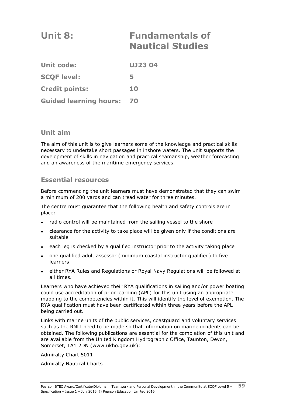| Unit 8:                       | <b>Fundamentals of</b><br><b>Nautical Studies</b> |
|-------------------------------|---------------------------------------------------|
| <b>Unit code:</b>             | <b>UJ2304</b>                                     |
| <b>SCOF level:</b>            | 5                                                 |
| <b>Credit points:</b>         | 10                                                |
| <b>Guided learning hours:</b> | 70                                                |

## **Unit aim**

The aim of this unit is to give learners some of the knowledge and practical skills necessary to undertake short passages in inshore waters. The unit supports the development of skills in navigation and practical seamanship, weather forecasting and an awareness of the maritime emergency services.

### **Essential resources**

Before commencing the unit learners must have demonstrated that they can swim a minimum of 200 yards and can tread water for three minutes.

The centre must guarantee that the following health and safety controls are in place:

- radio control will be maintained from the sailing vessel to the shore
- clearance for the activity to take place will be given only if the conditions are suitable
- each leg is checked by a qualified instructor prior to the activity taking place
- one qualified adult assessor (minimum coastal instructor qualified) to five learners
- either RYA Rules and Regulations or Royal Navy Regulations will be followed at all times.

Learners who have achieved their RYA qualifications in sailing and/or power boating could use accreditation of prior learning (APL) for this unit using an appropriate mapping to the competencies within it. This will identify the level of exemption. The RYA qualification must have been certificated within three years before the APL being carried out.

Links with marine units of the public services, coastguard and voluntary services such as the RNLI need to be made so that information on marine incidents can be obtained. The following publications are essential for the completion of this unit and are available from the United Kingdom Hydrographic Office, Taunton, Devon, Somerset, TA1 2DN (www.ukho.gov.uk):

Admiralty Chart 5011

Admiralty Nautical Charts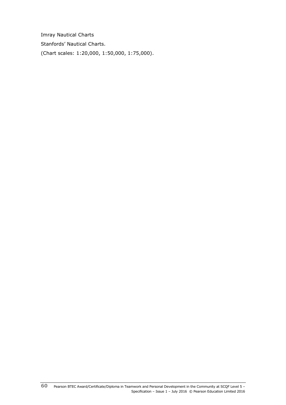Imray Nautical Charts Stanfords' Nautical Charts. (Chart scales: 1:20,000, 1:50,000, 1:75,000).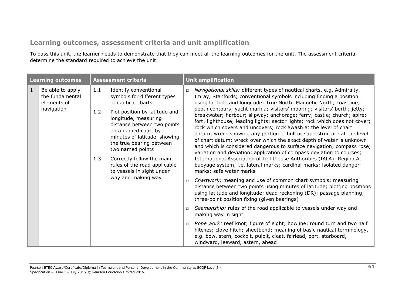| <b>Learning outcomes</b> |                                                                  | <b>Assessment criteria</b> |                                                                                                                                                                                             |        | <b>Unit amplification</b>                                                                                                                                                                                                                                                                                                                                                                                                                                                                                                                                                                                   |  |
|--------------------------|------------------------------------------------------------------|----------------------------|---------------------------------------------------------------------------------------------------------------------------------------------------------------------------------------------|--------|-------------------------------------------------------------------------------------------------------------------------------------------------------------------------------------------------------------------------------------------------------------------------------------------------------------------------------------------------------------------------------------------------------------------------------------------------------------------------------------------------------------------------------------------------------------------------------------------------------------|--|
| $\mathbf{1}$             | Be able to apply<br>the fundamental<br>elements of<br>navigation | 1.1                        | Identify conventional<br>symbols for different types<br>of nautical charts                                                                                                                  | $\Box$ | Navigational skills: different types of nautical charts, e.g. Admiralty,<br>Imray, Stanfords; conventional symbols including finding a position<br>using latitude and longitude; True North; Magnetic North; coastline;                                                                                                                                                                                                                                                                                                                                                                                     |  |
|                          |                                                                  | 1.2                        | Plot position by latitude and<br>longitude, measuring<br>distance between two points<br>on a named chart by<br>minutes of latitude, showing<br>the true bearing between<br>two named points |        | depth contours; yacht marina; visitors' mooring; visitors' berth; jetty;<br>breakwater; harbour; slipway; anchorage; ferry; castle; church; spire;<br>fort; lighthouse; leading lights; sector lights; rock which does not cover;<br>rock which covers and uncovers; rock awash at the level of chart<br>datum; wreck showing any portion of hull or superstructure at the level<br>of chart datum; wreck over which the exact depth of water is unknown<br>and which is considered dangerous to surface navigation; compass rose;<br>variation and deviation; application of compass deviation to courses; |  |
|                          |                                                                  | 1.3                        | Correctly follow the main<br>rules of the road applicable<br>to vessels in sight under<br>way and making way                                                                                |        | International Association of Lighthouse Authorities (IALA); Region A<br>buoyage system, i.e. lateral marks; cardinal marks; isolated danger<br>marks; safe water marks                                                                                                                                                                                                                                                                                                                                                                                                                                      |  |
|                          |                                                                  |                            |                                                                                                                                                                                             |        | Chartwork: meaning and use of common chart symbols; measuring<br>distance between two points using minutes of latitude; plotting positions<br>using latitude and longitude; dead reckoning (DR); passage planning;<br>three-point position fixing (given bearings)                                                                                                                                                                                                                                                                                                                                          |  |
|                          |                                                                  |                            |                                                                                                                                                                                             |        | Seamanship: rules of the road applicable to vessels under way and<br>making way in sight                                                                                                                                                                                                                                                                                                                                                                                                                                                                                                                    |  |
|                          |                                                                  |                            |                                                                                                                                                                                             | $\Box$ | Rope work: reef knot; figure of eight; bowline; round turn and two half<br>hitches; clove hitch; sheetbend; meaning of basic nautical terminology,<br>e.g. bow, stern, cockpit, pulpit, cleat, fairlead, port, starboard,<br>windward, leeward, astern, ahead                                                                                                                                                                                                                                                                                                                                               |  |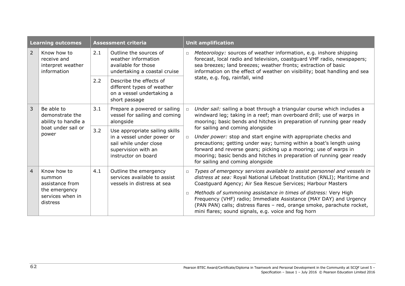| <b>Learning outcomes</b> |                                                                                           | <b>Assessment criteria</b> |                                                                                                                                      |                  | <b>Unit amplification</b>                                                                                                                                                                                                                                                                                                                                   |  |
|--------------------------|-------------------------------------------------------------------------------------------|----------------------------|--------------------------------------------------------------------------------------------------------------------------------------|------------------|-------------------------------------------------------------------------------------------------------------------------------------------------------------------------------------------------------------------------------------------------------------------------------------------------------------------------------------------------------------|--|
| $\overline{2}$           | Know how to<br>receive and<br>interpret weather<br>information                            | 2.1                        | Outline the sources of<br>weather information<br>available for those<br>undertaking a coastal cruise                                 | $\Box$           | Meteorology: sources of weather information, e.g. inshore shipping<br>forecast, local radio and television, coastguard VHF radio, newspapers;<br>sea breezes; land breezes; weather fronts; extraction of basic<br>information on the effect of weather on visibility; boat handling and sea<br>state, e.g. fog, rainfall, wind                             |  |
|                          |                                                                                           | 2.2                        | Describe the effects of<br>different types of weather<br>on a vessel undertaking a<br>short passage                                  |                  |                                                                                                                                                                                                                                                                                                                                                             |  |
| 3                        | Be able to<br>demonstrate the<br>ability to handle a<br>boat under sail or<br>power       | 3.1                        | Prepare a powered or sailing<br>vessel for sailing and coming<br>alongside                                                           | $\Box$<br>$\Box$ | Under sail: sailing a boat through a triangular course which includes a<br>windward leg; taking in a reef; man overboard drill; use of warps in<br>mooring; basic bends and hitches in preparation of running gear ready                                                                                                                                    |  |
|                          |                                                                                           | 3.2                        | Use appropriate sailing skills<br>in a vessel under power or<br>sail while under close<br>supervision with an<br>instructor on board |                  | for sailing and coming alongside<br>Under power: stop and start engine with appropriate checks and<br>precautions; getting under way; turning within a boat's length using<br>forward and reverse gears; picking up a mooring; use of warps in<br>mooring; basic bends and hitches in preparation of running gear ready<br>for sailing and coming alongside |  |
| $\overline{4}$           | Know how to<br>summon<br>assistance from<br>the emergency<br>services when in<br>distress | 4.1                        | Outline the emergency<br>$\Box$<br>services available to assist<br>vessels in distress at sea<br>$\Box$                              |                  | Types of emergency services available to assist personnel and vessels in<br>distress at sea: Royal National Lifeboat Institution (RNLI); Maritime and<br>Coastguard Agency; Air Sea Rescue Services; Harbour Masters                                                                                                                                        |  |
|                          |                                                                                           |                            |                                                                                                                                      |                  | Methods of summoning assistance in times of distress: Very High<br>Frequency (VHF) radio; Immediate Assistance (MAY DAY) and Urgency<br>(PAN PAN) calls; distress flares - red, orange smoke, parachute rocket,<br>mini flares; sound signals, e.g. voice and fog horn                                                                                      |  |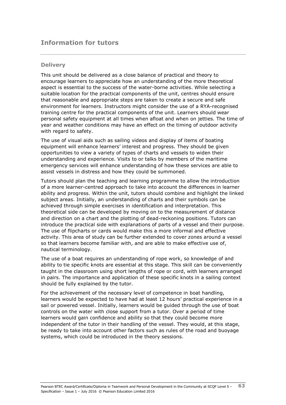#### **Delivery**

This unit should be delivered as a close balance of practical and theory to encourage learners to appreciate how an understanding of the more theoretical aspect is essential to the success of the water-borne activities. While selecting a suitable location for the practical components of the unit, centres should ensure that reasonable and appropriate steps are taken to create a secure and safe environment for learners. Instructors might consider the use of a RYA-recognised training centre for the practical components of the unit. Learners should wear personal safety equipment at all times when afloat and when on jetties. The time of year and weather conditions may have an effect on the timing of outdoor activity with regard to safety.

The use of visual aids such as sailing videos and display of items of boating equipment will enhance learners' interest and progress. They should be given opportunities to view a variety of types of charts and vessels to widen their understanding and experience. Visits to or talks by members of the maritime emergency services will enhance understanding of how these services are able to assist vessels in distress and how they could be summoned.

Tutors should plan the teaching and learning programme to allow the introduction of a more learner-centred approach to take into account the differences in learner ability and progress. Within the unit, tutors should combine and highlight the linked subject areas. Initially, an understanding of charts and their symbols can be achieved through simple exercises in identification and interpretation. This theoretical side can be developed by moving on to the measurement of distance and direction on a chart and the plotting of dead-reckoning positions. Tutors can introduce the practical side with explanations of parts of a vessel and their purpose. The use of flipcharts or cards would make this a more informal and effective activity. This area of study can be further extended to cover zones around a vessel so that learners become familiar with, and are able to make effective use of, nautical terminology.

The use of a boat requires an understanding of rope work, so knowledge of and ability to tie specific knots are essential at this stage. This skill can be conveniently taught in the classroom using short lengths of rope or cord, with learners arranged in pairs. The importance and application of these specific knots in a sailing context should be fully explained by the tutor.

For the achievement of the necessary level of competence in boat handling, learners would be expected to have had at least 12 hours' practical experience in a sail or powered vessel. Initially, learners would be guided through the use of boat controls on the water with close support from a tutor. Over a period of time learners would gain confidence and ability so that they could become more independent of the tutor in their handling of the vessel. They would, at this stage, be ready to take into account other factors such as rules of the road and buoyage systems, which could be introduced in the theory sessions.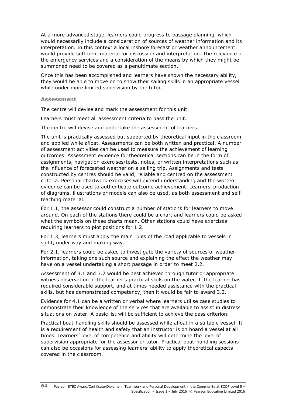At a more advanced stage, learners could progress to passage planning, which would necessarily include a consideration of sources of weather information and its interpretation. In this context a local inshore forecast or weather announcement would provide sufficient material for discussion and interpretation. The relevance of the emergency services and a consideration of the means by which they might be summoned need to be covered as a penultimate section.

Once this has been accomplished and learners have shown the necessary ability, they would be able to move on to show their sailing skills in an appropriate vessel while under more limited supervision by the tutor.

#### **Assessment**

The centre will devise and mark the assessment for this unit.

Learners must meet all assessment criteria to pass the unit.

The centre will devise and undertake the assessment of learners.

The unit is practically assessed but supported by theoretical input in the classroom and applied while afloat. Assessments can be both written and practical. A number of assessment activities can be used to measure the achievement of learning outcomes. Assessment evidence for theoretical sections can be in the form of assignments, navigation exercises/tests, notes, or written interpretations such as the influence of forecasted weather on a sailing trip. Assignments and tests constructed by centres should be valid, reliable and centred on the assessment criteria. Personal chartwork exercises will extend understanding and the written evidence can be used to authenticate outcome achievement. Learners' production of diagrams, illustrations or models can also be used, as both assessment and selfteaching material.

For 1.1, the assessor could construct a number of stations for learners to move around. On each of the stations there could be a chart and learners could be asked what the symbols on these charts mean. Other stations could have exercises requiring learners to plot positions for 1.2.

For 1.3, learners must apply the main rules of the road applicable to vessels in sight, under way and making way.

For 2.1, learners could be asked to investigate the variety of sources of weather information, taking one such source and explaining the effect the weather may have on a vessel undertaking a short passage in order to meet 2.2.

Assessment of 3.1 and 3.2 would be best achieved through tutor or appropriate witness observation of the learner's practical skills on the water. If the learner has required considerable support, and at times needed assistance with the practical skills, but has demonstrated competency, then it would be fair to award 3.2.

Evidence for 4.1 can be a written or verbal where learners utilise case studies to demonstrate their knowledge of the services that are available to assist in distress situations on water. A basic list will be sufficient to achieve the pass criterion.

Practical boat-handling skills should be assessed while afloat in a suitable vessel. It is a requirement of health and safety that an instructor is on board a vessel at all times. Learners' level of competence and ability will determine the level of supervision appropriate for the assessor or tutor. Practical boat-handling sessions can also be occasions for assessing learners' ability to apply theoretical aspects covered in the classroom.

Pearson BTEC Award/Certificate/Diploma in Teamwork and Personal Development in the Community at SCQF Level 5 – **64** Specification – Issue 1 – July 2016 © Pearson Education Limited 2016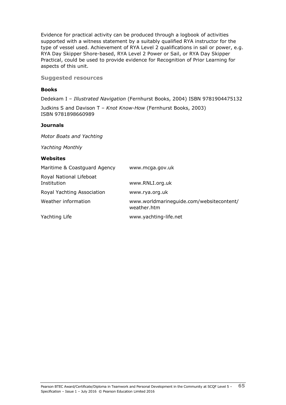Evidence for practical activity can be produced through a logbook of activities supported with a witness statement by a suitably qualified RYA instructor for the type of vessel used. Achievement of RYA Level 2 qualifications in sail or power, e.g. RYA Day Skipper Shore-based, RYA Level 2 Power or Sail, or RYA Day Skipper Practical, could be used to provide evidence for Recognition of Prior Learning for aspects of this unit.

**Suggested resources**

#### **Books**

Dedekam I – *Illustrated Navigation* (Fernhurst Books, 2004) ISBN 9781904475132

Judkins S and Davison T – *Knot Know-How* (Fernhurst Books, 2003) ISBN 9781898660989

#### **Journals**

*Motor Boats and Yachting*

*Yachting Monthly*

#### **Websites**

| Maritime & Coastguard Agency           | www.mcga.gov.uk                                         |
|----------------------------------------|---------------------------------------------------------|
| Royal National Lifeboat<br>Institution | www.RNLI.org.uk                                         |
| Royal Yachting Association             | www.rya.org.uk                                          |
| Weather information                    | www.worldmarinequide.com/websitecontent/<br>weather.htm |
| Yachting Life                          | www.yachting-life.net                                   |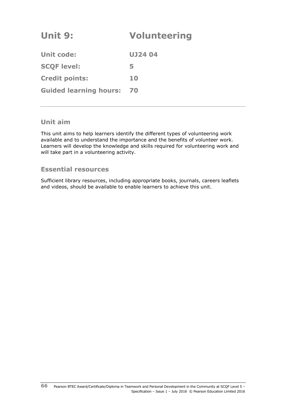# **Unit 9: Volunteering Unit code: UJ24 04 SCQF level: 5**

**Credit points: 10 Guided learning hours: 70**

# **Unit aim**

This unit aims to help learners identify the different types of volunteering work available and to understand the importance and the benefits of volunteer work. Learners will develop the knowledge and skills required for volunteering work and will take part in a volunteering activity.

# **Essential resources**

Sufficient library resources, including appropriate books, journals, careers leaflets and videos, should be available to enable learners to achieve this unit.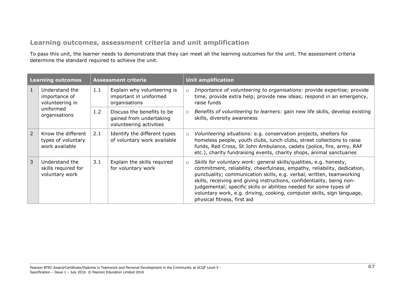| <b>Learning outcomes</b> |                                                            | <b>Assessment criteria</b> |                                                                                  |        | <b>Unit amplification</b>                                                                                                                                                                                                                                                                                                                                                                                                                                                       |  |
|--------------------------|------------------------------------------------------------|----------------------------|----------------------------------------------------------------------------------|--------|---------------------------------------------------------------------------------------------------------------------------------------------------------------------------------------------------------------------------------------------------------------------------------------------------------------------------------------------------------------------------------------------------------------------------------------------------------------------------------|--|
|                          | Understand the<br>importance of<br>volunteering in         | 1.1                        | Explain why volunteering is<br>important in uniformed<br>organisations           |        | <i>Importance of volunteering to organisations: provide expertise; provide</i><br>time; provide extra help; provide new ideas; respond in an emergency,<br>raise funds                                                                                                                                                                                                                                                                                                          |  |
|                          | uniformed<br>organisations                                 | 1.2                        | Discuss the benefits to be<br>gained from undertaking<br>volunteering activities | $\Box$ | Benefits of volunteering to learners: gain new life skills, develop existing<br>skills, diversity awareness                                                                                                                                                                                                                                                                                                                                                                     |  |
| $\overline{2}$           | Know the different<br>types of voluntary<br>work available | 2.1                        | Identify the different types<br>of voluntary work available                      | $\Box$ | Volunteering situations: e.g. conservation projects, shelters for<br>homeless people, youth clubs, lunch clubs, street collections to raise<br>funds, Red Cross, St John Ambulance, cadets (police, fire, army, RAF<br>etc.), charity fundraising events, charity shops, animal sanctuaries                                                                                                                                                                                     |  |
| 3                        | Understand the<br>skills required for<br>voluntary work    | 3.1                        | Explain the skills required<br>for voluntary work                                | $\Box$ | Skills for voluntary work: general skills/qualities, e.g. honesty,<br>commitment, reliability, cheerfulness, empathy, reliability, dedication,<br>punctuality; communication skills, e.g. verbal, written, teamworking<br>skills, receiving and giving instructions, confidentiality, being non-<br>judgemental; specific skills or abilities needed for some types of<br>voluntary work, e.g. driving, cooking, computer skills, sign language,<br>physical fitness, first aid |  |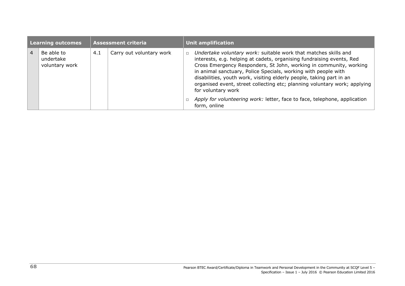| Learning outcomes<br><b>Assessment criteria</b> |                                           | <b>Unit amplification</b> |                          |                                                                                                                                                                                                                                                                                                                                                                                                                                                             |
|-------------------------------------------------|-------------------------------------------|---------------------------|--------------------------|-------------------------------------------------------------------------------------------------------------------------------------------------------------------------------------------------------------------------------------------------------------------------------------------------------------------------------------------------------------------------------------------------------------------------------------------------------------|
| 4                                               | Be able to<br>undertake<br>voluntary work | 4.1                       | Carry out voluntary work | Undertake voluntary work: suitable work that matches skills and<br>interests, e.g. helping at cadets, organising fundraising events, Red<br>Cross Emergency Responders, St John, working in community, working<br>in animal sanctuary, Police Specials, working with people with<br>disabilities, youth work, visiting elderly people, taking part in an<br>organised event, street collecting etc; planning voluntary work; applying<br>for voluntary work |
|                                                 |                                           |                           |                          | Apply for volunteering work: letter, face to face, telephone, application<br>form, online                                                                                                                                                                                                                                                                                                                                                                   |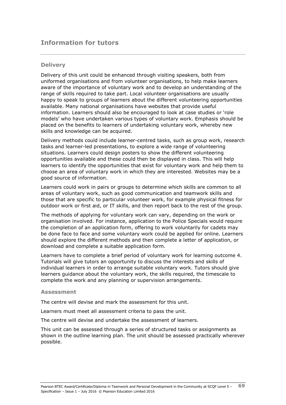## **Information for tutors**

## **Delivery**

Delivery of this unit could be enhanced through visiting speakers, both from uniformed organisations and from volunteer organisations, to help make learners aware of the importance of voluntary work and to develop an understanding of the range of skills required to take part. Local volunteer organisations are usually happy to speak to groups of learners about the different volunteering opportunities available. Many national organisations have websites that provide useful information. Learners should also be encouraged to look at case studies or 'role models' who have undertaken various types of voluntary work. Emphasis should be placed on the benefits to learners of undertaking voluntary work, whereby new skills and knowledge can be acquired.

Delivery methods could include learner-centred tasks, such as group work, research tasks and learner-led presentations, to explore a wide range of volunteering situations. Learners could design posters to show the different volunteering opportunities available and these could then be displayed in class. This will help learners to identify the opportunities that exist for voluntary work and help them to choose an area of voluntary work in which they are interested. Websites may be a good source of information.

Learners could work in pairs or groups to determine which skills are common to all areas of voluntary work, such as good communication and teamwork skills and those that are specific to particular volunteer work, for example physical fitness for outdoor work or first aid, or IT skills, and then report back to the rest of the group.

The methods of applying for voluntary work can vary, depending on the work or organisation involved. For instance, application to the Police Specials would require the completion of an application form, offering to work voluntarily for cadets may be done face to face and some voluntary work could be applied for online. Learners should explore the different methods and then complete a letter of application, or download and complete a suitable application form.

Learners have to complete a brief period of voluntary work for learning outcome 4. Tutorials will give tutors an opportunity to discuss the interests and skills of individual learners in order to arrange suitable voluntary work. Tutors should give learners guidance about the voluntary work, the skills required, the timescale to complete the work and any planning or supervision arrangements.

### **Assessment**

The centre will devise and mark the assessment for this unit.

Learners must meet all assessment criteria to pass the unit.

The centre will devise and undertake the assessment of learners.

This unit can be assessed through a series of structured tasks or assignments as shown in the outline learning plan. The unit should be assessed practically wherever possible.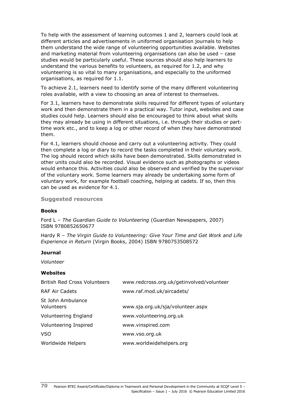To help with the assessment of learning outcomes 1 and 2, learners could look at different articles and advertisements in uniformed organisation journals to help them understand the wide range of volunteering opportunities available. Websites and marketing material from volunteering organisations can also be used – case studies would be particularly useful. These sources should also help learners to understand the various benefits to volunteers, as required for 1.2, and why volunteering is so vital to many organisations, and especially to the uniformed organisations, as required for 1.1.

To achieve 2.1, learners need to identify some of the many different volunteering roles available, with a view to choosing an area of interest to themselves.

For 3.1, learners have to demonstrate skills required for different types of voluntary work and then demonstrate them in a practical way. Tutor input, websites and case studies could help. Learners should also be encouraged to think about what skills they may already be using in different situations, i.e. through their studies or parttime work etc., and to keep a log or other record of when they have demonstrated them.

For 4.1, learners should choose and carry out a volunteering activity. They could then complete a log or diary to record the tasks completed in their voluntary work. The log should record which skills have been demonstrated. Skills demonstrated in other units could also be recorded. Visual evidence such as photographs or videos would enhance this. Activities could also be observed and verified by the supervisor of the voluntary work. Some learners may already be undertaking some form of voluntary work, for example football coaching, helping at cadets. If so, then this can be used as evidence for 4.1.

**Suggested resources**

### **Books**

Ford L – *The Guardian Guide to Volunteering* (Guardian Newspapers, 2007) ISBN 9780852650677

Hardy R – *The Virgin Guide to Volunteering: Give Your Time and Get Work and Life Experience in Return* (Virgin Books, 2004) ISBN 9780753508572

### **Journal**

*Volunteer*

## **Websites**

| <b>British Red Cross Volunteers</b> | www.redcross.org.uk/getinvolved/volunteer |
|-------------------------------------|-------------------------------------------|
| RAF Air Cadets                      | www.raf.mod.uk/aircadets/                 |
| St John Ambulance<br>Volunteers     | www.sja.org.uk/sja/volunteer.aspx         |
| <b>Volunteering England</b>         | www.volunteering.org.uk                   |
| Volunteering Inspired               | www.vinspired.com                         |
| <b>VSO</b>                          | www.vso.org.uk                            |
| Worldwide Helpers                   | www.worldwidehelpers.org                  |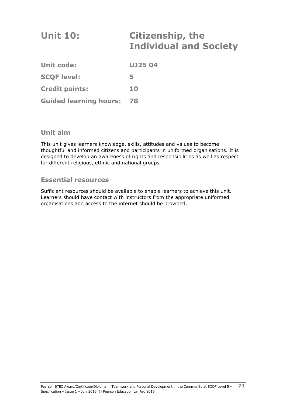| <b>Unit 10:</b>               | <b>Citizenship, the</b><br><b>Individual and Society</b> |
|-------------------------------|----------------------------------------------------------|
| <b>Unit code:</b>             | <b>UJ2504</b>                                            |
| <b>SCOF level:</b>            | 5                                                        |
| <b>Credit points:</b>         | 10                                                       |
| <b>Guided learning hours:</b> | 78                                                       |

## **Unit aim**

This unit gives learners knowledge, skills, attitudes and values to become thoughtful and informed citizens and participants in uniformed organisations. It is designed to develop an awareness of rights and responsibilities as well as respect for different religious, ethnic and national groups.

## **Essential resources**

Sufficient resources should be available to enable learners to achieve this unit. Learners should have contact with instructors from the appropriate uniformed organisations and access to the internet should be provided.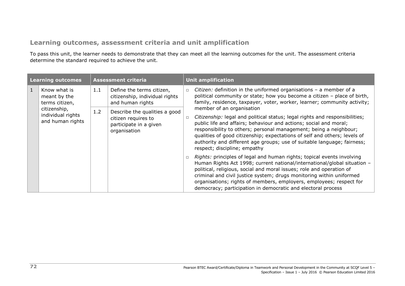## **Learning outcomes, assessment criteria and unit amplification**

To pass this unit, the learner needs to demonstrate that they can meet all the learning outcomes for the unit. The assessment criteria determine the standard required to achieve the unit.

| <b>Learning outcomes</b> |                                                       | <b>Assessment criteria</b>                                                                            |                                                                                                                                                                                                                                                                                                                                                                                                                                           |        | <b>Unit amplification</b>                                                                                                                                                                                                                                                                                                                                                                                                                                                                 |  |
|--------------------------|-------------------------------------------------------|-------------------------------------------------------------------------------------------------------|-------------------------------------------------------------------------------------------------------------------------------------------------------------------------------------------------------------------------------------------------------------------------------------------------------------------------------------------------------------------------------------------------------------------------------------------|--------|-------------------------------------------------------------------------------------------------------------------------------------------------------------------------------------------------------------------------------------------------------------------------------------------------------------------------------------------------------------------------------------------------------------------------------------------------------------------------------------------|--|
| $\mathbf{1}$             | Know what is<br>meant by the<br>terms citizen,        | 1.1                                                                                                   | Define the terms citizen,<br>citizenship, individual rights<br>and human rights                                                                                                                                                                                                                                                                                                                                                           | $\Box$ | <i>Citizen:</i> definition in the uniformed organisations $-$ a member of a<br>political community or state; how you become a citizen - place of birth,<br>family, residence, taxpayer, voter, worker, learner; community activity;<br>member of an organisation<br>Citizenship: legal and political status; legal rights and responsibilities;<br>public life and affairs; behaviour and actions; social and moral;<br>responsibility to others; personal management; being a neighbour; |  |
|                          | citizenship,<br>individual rights<br>and human rights | 1.2<br>Describe the qualities a good<br>citizen requires to<br>participate in a given<br>organisation |                                                                                                                                                                                                                                                                                                                                                                                                                                           |        | qualities of good citizenship; expectations of self and others; levels of<br>authority and different age groups; use of suitable language; fairness;<br>respect; discipline; empathy                                                                                                                                                                                                                                                                                                      |  |
|                          |                                                       |                                                                                                       | Rights: principles of legal and human rights; topical events involving<br>Human Rights Act 1998; current national/international/global situation -<br>political, religious, social and moral issues; role and operation of<br>criminal and civil justice system; drugs monitoring within uniformed<br>organisations; rights of members, employers, employees; respect for<br>democracy; participation in democratic and electoral process |        |                                                                                                                                                                                                                                                                                                                                                                                                                                                                                           |  |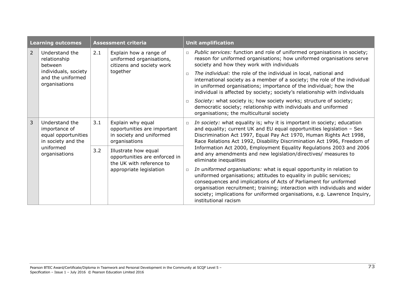| <b>Learning outcomes</b> |                                                                                                            | <b>Assessment criteria</b> |                                                                                               |                                                                                                                                                                                                                                                                                                                                                                                                    | <b>Unit amplification</b>                                                                                                                                                                                                                                                                          |  |
|--------------------------|------------------------------------------------------------------------------------------------------------|----------------------------|-----------------------------------------------------------------------------------------------|----------------------------------------------------------------------------------------------------------------------------------------------------------------------------------------------------------------------------------------------------------------------------------------------------------------------------------------------------------------------------------------------------|----------------------------------------------------------------------------------------------------------------------------------------------------------------------------------------------------------------------------------------------------------------------------------------------------|--|
| $\overline{2}$           | Understand the<br>relationship<br>between<br>individuals, society<br>and the uniformed<br>organisations    | 2.1                        | Explain how a range of<br>uniformed organisations,<br>citizens and society work<br>together   | $\Box$                                                                                                                                                                                                                                                                                                                                                                                             | Public services: function and role of uniformed organisations in society;<br>reason for uniformed organisations; how uniformed organisations serve<br>society and how they work with individuals                                                                                                   |  |
|                          |                                                                                                            |                            |                                                                                               | $\Box$                                                                                                                                                                                                                                                                                                                                                                                             | The individual: the role of the individual in local, national and<br>international society as a member of a society; the role of the individual<br>in uniformed organisations; importance of the individual; how the<br>individual is affected by society; society's relationship with individuals |  |
|                          |                                                                                                            |                            |                                                                                               | $\Box$                                                                                                                                                                                                                                                                                                                                                                                             | Society: what society is; how society works; structure of society;<br>democratic society; relationship with individuals and uniformed<br>organisations; the multicultural society                                                                                                                  |  |
| $\overline{3}$           | Understand the<br>importance of<br>equal opportunities<br>in society and the<br>uniformed<br>organisations | 3.1                        | Explain why equal<br>opportunities are important<br>in society and uniformed<br>organisations | $\Box$                                                                                                                                                                                                                                                                                                                                                                                             | In society: what equality is; why it is important in society; education<br>and equality; current UK and EU equal opportunities legislation - Sex<br>Discrimination Act 1997, Equal Pay Act 1970, Human Rights Act 1998,<br>Race Relations Act 1992, Disability Discrimination Act 1996, Freedom of |  |
|                          |                                                                                                            | 3.2                        | Illustrate how equal<br>opportunities are enforced in<br>the UK with reference to             |                                                                                                                                                                                                                                                                                                                                                                                                    | Information Act 2000, Employment Equality Regulations 2003 and 2006<br>and any amendments and new legislation/directives/ measures to<br>eliminate inequalities                                                                                                                                    |  |
|                          |                                                                                                            |                            | appropriate legislation<br>$\Box$                                                             | In uniformed organisations: what is equal opportunity in relation to<br>uniformed organisations; attitudes to equality in public services;<br>consequences and implications of Acts of Parliament for uniformed<br>organisation recruitment; training; interaction with individuals and wider<br>society; implications for uniformed organisations, e.g. Lawrence Inquiry,<br>institutional racism |                                                                                                                                                                                                                                                                                                    |  |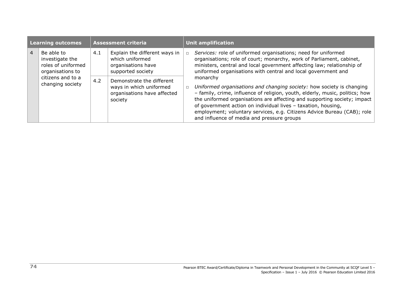| <b>Learning outcomes</b> |                                                                         | <b>Assessment criteria</b> |                                                                                                |                    | <b>Unit amplification</b>                                                                                                                                                                                                                                                                                                                                                                                                   |  |
|--------------------------|-------------------------------------------------------------------------|----------------------------|------------------------------------------------------------------------------------------------|--------------------|-----------------------------------------------------------------------------------------------------------------------------------------------------------------------------------------------------------------------------------------------------------------------------------------------------------------------------------------------------------------------------------------------------------------------------|--|
| 4                        | Be able to<br>investigate the<br>roles of uniformed<br>organisations to | 4.1                        | Explain the different ways in<br>which uniformed<br>organisations have<br>supported society    | monarchy<br>$\Box$ | Services: role of uniformed organisations; need for uniformed<br>organisations; role of court; monarchy, work of Parliament, cabinet,<br>ministers, central and local government affecting law; relationship of<br>uniformed organisations with central and local government and                                                                                                                                            |  |
|                          | citizens and to a<br>changing society                                   | 4.2                        | Demonstrate the different<br>ways in which uniformed<br>organisations have affected<br>society |                    | Uniformed organisations and changing society: how society is changing<br>- family, crime, influence of religion, youth, elderly, music, politics; how<br>the uniformed organisations are affecting and supporting society; impact<br>of government action on individual lives - taxation, housing,<br>employment; voluntary services, e.g. Citizens Advice Bureau (CAB); role<br>and influence of media and pressure groups |  |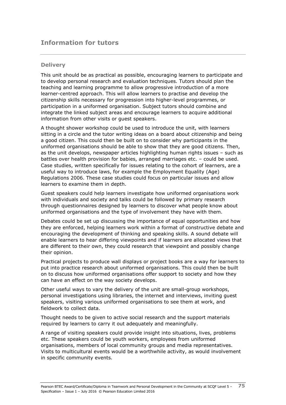## **Information for tutors**

## **Delivery**

This unit should be as practical as possible, encouraging learners to participate and to develop personal research and evaluation techniques. Tutors should plan the teaching and learning programme to allow progressive introduction of a more learner-centred approach. This will allow learners to practise and develop the citizenship skills necessary for progression into higher-level programmes, or participation in a uniformed organisation. Subject tutors should combine and integrate the linked subject areas and encourage learners to acquire additional information from other visits or guest speakers.

A thought shower workshop could be used to introduce the unit, with learners sitting in a circle and the tutor writing ideas on a board about citizenship and being a good citizen. This could then be built on to consider why participants in the uniformed organisations should be able to show that they are good citizens. Then, as the unit develops, newspaper articles highlighting human rights issues – such as battles over health provision for babies, arranged marriages etc. – could be used. Case studies, written specifically for issues relating to the cohort of learners, are a useful way to introduce laws, for example the Employment Equality (Age) Regulations 2006. These case studies could focus on particular issues and allow learners to examine them in depth.

Guest speakers could help learners investigate how uniformed organisations work with individuals and society and talks could be followed by primary research through questionnaires designed by learners to discover what people know about uniformed organisations and the type of involvement they have with them.

Debates could be set up discussing the importance of equal opportunities and how they are enforced, helping learners work within a format of constructive debate and encouraging the development of thinking and speaking skills. A sound debate will enable learners to hear differing viewpoints and if learners are allocated views that are different to their own, they could research that viewpoint and possibly change their opinion.

Practical projects to produce wall displays or project books are a way for learners to put into practice research about uniformed organisations. This could then be built on to discuss how uniformed organisations offer support to society and how they can have an effect on the way society develops.

Other useful ways to vary the delivery of the unit are small-group workshops, personal investigations using libraries, the internet and interviews, inviting guest speakers, visiting various uniformed organisations to see them at work, and fieldwork to collect data.

Thought needs to be given to active social research and the support materials required by learners to carry it out adequately and meaningfully.

A range of visiting speakers could provide insight into situations, lives, problems etc. These speakers could be youth workers, employees from uniformed organisations, members of local community groups and media representatives. Visits to multicultural events would be a worthwhile activity, as would involvement in specific community events.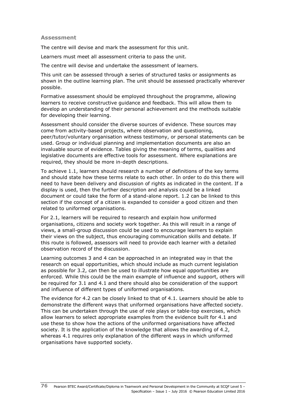#### **Assessment**

The centre will devise and mark the assessment for this unit.

Learners must meet all assessment criteria to pass the unit.

The centre will devise and undertake the assessment of learners.

This unit can be assessed through a series of structured tasks or assignments as shown in the outline learning plan. The unit should be assessed practically wherever possible.

Formative assessment should be employed throughout the programme, allowing learners to receive constructive guidance and feedback. This will allow them to develop an understanding of their personal achievement and the methods suitable for developing their learning.

Assessment should consider the diverse sources of evidence. These sources may come from activity-based projects, where observation and questioning, peer/tutor/voluntary organisation witness testimony, or personal statements can be used. Group or individual planning and implementation documents are also an invaluable source of evidence. Tables giving the meaning of terms, qualities and legislative documents are effective tools for assessment. Where explanations are required, they should be more in-depth descriptions.

To achieve 1.1, learners should research a number of definitions of the key terms and should state how these terms relate to each other. In order to do this there will need to have been delivery and discussion of rights as indicated in the content. If a display is used, then the further description and analysis could be a linked document or could take the form of a stand-alone report. 1.2 can be linked to this section if the concept of a citizen is expanded to consider a good citizen and then related to uniformed organisations.

For 2.1, learners will be required to research and explain how uniformed organisations, citizens and society work together. As this will result in a range of views, a small-group discussion could be used to encourage learners to explain their views on the subject, thus encouraging communication skills and debate. If this route is followed, assessors will need to provide each learner with a detailed observation record of the discussion.

Learning outcomes 3 and 4 can be approached in an integrated way in that the research on equal opportunities, which should include as much current legislation as possible for 3.2, can then be used to illustrate how equal opportunities are enforced. While this could be the main example of influence and support, others will be required for 3.1 and 4.1 and there should also be consideration of the support and influence of different types of uniformed organisations.

The evidence for 4.2 can be closely linked to that of 4.1. Learners should be able to demonstrate the different ways that uniformed organisations have affected society. This can be undertaken through the use of role plays or table-top exercises, which allow learners to select appropriate examples from the evidence built for 4.1 and use these to show how the actions of the uniformed organisations have affected society. It is the application of the knowledge that allows the awarding of 4.2, whereas 4.1 requires only explanation of the different ways in which uniformed organisations have supported society.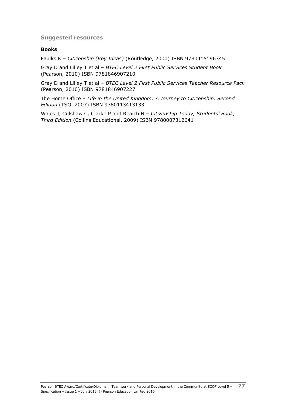### **Suggested resources**

## **Books**

Faulks K – *Citizenship (Key Ideas)* (Routledge, 2000) ISBN 9780415196345

Gray D and Lilley T et al – *BTEC Level 2 First Public Services Student Book* (Pearson, 2010) ISBN 9781846907210

Gray D and Lilley T et al – *BTEC Level 2 First Public Services Teacher Resource Pack* (Pearson, 2010) ISBN 9781846907227

The Home Office – *Life in the United Kingdom: A Journey to Citizenship, Second Edition* (TSO, 2007) ISBN 9780113413133

Wales J, Culshaw C, Clarke P and Reaich N – *Citizenship Today, Students' Book, Third Edition* (Collins Educational, 2009) ISBN 9780007312641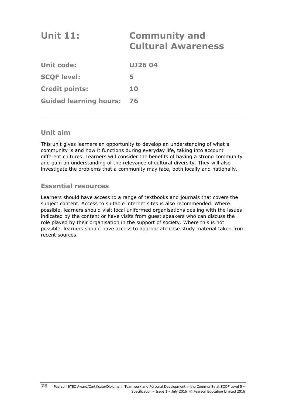| <b>Unit 11:</b>               | <b>Community and</b><br><b>Cultural Awareness</b> |
|-------------------------------|---------------------------------------------------|
| <b>Unit code:</b>             | <b>UJ2604</b>                                     |
| <b>SCOF level:</b>            | 5                                                 |
| <b>Credit points:</b>         | 10                                                |
| <b>Guided learning hours:</b> | 76                                                |

## **Unit aim**

This unit gives learners an opportunity to develop an understanding of what a community is and how it functions during everyday life, taking into account different cultures. Learners will consider the benefits of having a strong community and gain an understanding of the relevance of cultural diversity. They will also investigate the problems that a community may face, both locally and nationally.

## **Essential resources**

Learners should have access to a range of textbooks and journals that covers the subject content. Access to suitable internet sites is also recommended. Where possible, learners should visit local uniformed organisations dealing with the issues indicated by the content or have visits from guest speakers who can discuss the role played by their organisation in the support of society. Where this is not possible, learners should have access to appropriate case study material taken from recent sources.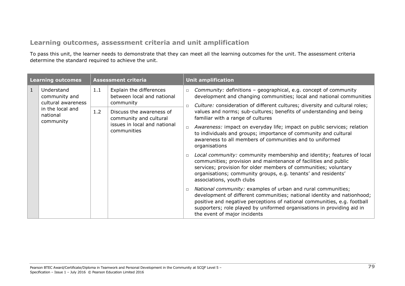## **Learning outcomes, assessment criteria and unit amplification**

To pass this unit, the learner needs to demonstrate that they can meet all the learning outcomes for the unit. The assessment criteria determine the standard required to achieve the unit.

| <b>Learning outcomes</b> |                                                   | <b>Assessment criteria</b> |                                                                                                   |        | <b>Unit amplification</b>                                                                                                                                                                                                                                                                                                            |  |
|--------------------------|---------------------------------------------------|----------------------------|---------------------------------------------------------------------------------------------------|--------|--------------------------------------------------------------------------------------------------------------------------------------------------------------------------------------------------------------------------------------------------------------------------------------------------------------------------------------|--|
| $\mathbf{1}$             | Understand<br>community and<br>cultural awareness | 1.1                        | Explain the differences<br>between local and national<br>community                                | $\Box$ | Community: definitions - geographical, e.g. concept of community<br>development and changing communities; local and national communities                                                                                                                                                                                             |  |
|                          | in the local and<br>national<br>community         | 1.2                        | Discuss the awareness of<br>community and cultural<br>issues in local and national<br>communities | $\Box$ | Culture: consideration of different cultures; diversity and cultural roles;<br>values and norms; sub-cultures; benefits of understanding and being<br>familiar with a range of cultures                                                                                                                                              |  |
|                          |                                                   |                            |                                                                                                   |        | Awareness: impact on everyday life; impact on public services; relation<br>to individuals and groups; importance of community and cultural<br>awareness to all members of communities and to uniformed<br>organisations                                                                                                              |  |
|                          |                                                   |                            |                                                                                                   | $\Box$ | Local community: community membership and identity; features of local<br>communities; provision and maintenance of facilities and public<br>services; provision for older members of communities; voluntary<br>organisations; community groups, e.g. tenants' and residents'<br>associations, youth clubs                            |  |
|                          |                                                   |                            |                                                                                                   |        | <i>National community: examples of urban and rural communities;</i><br>development of different communities; national identity and nationhood;<br>positive and negative perceptions of national communities, e.g. football<br>supporters; role played by uniformed organisations in providing aid in<br>the event of major incidents |  |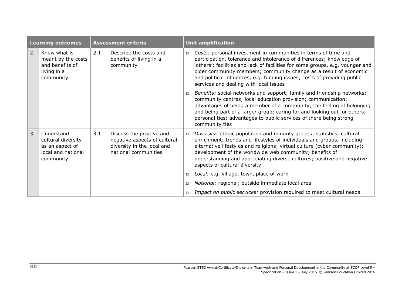| <b>Learning outcomes</b> |                                                                                        | <b>Assessment criteria</b> |                                                                                                                |        | <b>Unit amplification</b>                                                                                                                                                                                                                                                                                                                                                                                           |  |
|--------------------------|----------------------------------------------------------------------------------------|----------------------------|----------------------------------------------------------------------------------------------------------------|--------|---------------------------------------------------------------------------------------------------------------------------------------------------------------------------------------------------------------------------------------------------------------------------------------------------------------------------------------------------------------------------------------------------------------------|--|
| $\overline{2}$           | Know what is<br>meant by the costs<br>and benefits of<br>living in a<br>community      | 2.1                        | Describe the costs and<br>benefits of living in a<br>community                                                 | $\Box$ | Costs: personal investment in communities in terms of time and<br>participation, tolerance and intolerance of differences; knowledge of<br>'others'; facilities and lack of facilities for some groups, e.g. younger and<br>older community members; community change as a result of economic<br>and political influences, e.g. funding issues; costs of providing public<br>services and dealing with local issues |  |
|                          |                                                                                        |                            |                                                                                                                | $\Box$ | Benefits: social networks and support; family and friendship networks;<br>community centres; local education provision; communication;<br>advantages of being a member of a community; the feeling of belonging<br>and being part of a larger group; caring for and looking out for others;<br>personal ties; advantages to public services of there being strong<br>community ties                                 |  |
| 3                        | Understand<br>cultural diversity<br>as an aspect of<br>local and national<br>community | 3.1                        | Discuss the positive and<br>negative aspects of cultural<br>diversity in the local and<br>national communities | $\Box$ | Diversity: ethnic population and minority groups; statistics; cultural<br>enrichment; trends and lifestyles of individuals and groups, including<br>alternative lifestyles and religions; virtual culture (cyber community);<br>development of the worldwide web community; benefits of<br>understanding and appreciating diverse cultures; positive and negative<br>aspects of cultural diversity                  |  |
|                          |                                                                                        |                            |                                                                                                                | $\Box$ | Local: e.g. village, town, place of work                                                                                                                                                                                                                                                                                                                                                                            |  |
|                          |                                                                                        |                            |                                                                                                                | $\Box$ | National: regional; outside immediate local area                                                                                                                                                                                                                                                                                                                                                                    |  |
|                          |                                                                                        |                            |                                                                                                                | $\Box$ | Impact on public services: provision required to meet cultural needs                                                                                                                                                                                                                                                                                                                                                |  |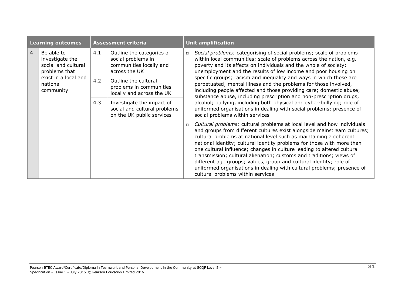| <b>Learning outcomes</b><br><b>Assessment criteria</b> |                                                                       |     |                                                                                             | <b>Unit amplification</b>                                                                                                                                                         |                                                                                                                                                                                                                                                                                                                                                                                                                                                                                                                                                                                                                                          |
|--------------------------------------------------------|-----------------------------------------------------------------------|-----|---------------------------------------------------------------------------------------------|-----------------------------------------------------------------------------------------------------------------------------------------------------------------------------------|------------------------------------------------------------------------------------------------------------------------------------------------------------------------------------------------------------------------------------------------------------------------------------------------------------------------------------------------------------------------------------------------------------------------------------------------------------------------------------------------------------------------------------------------------------------------------------------------------------------------------------------|
| $\overline{4}$                                         | Be able to<br>investigate the<br>social and cultural<br>problems that | 4.1 | Outline the categories of<br>social problems in<br>communities locally and<br>across the UK | $\Box$                                                                                                                                                                            | Social problems: categorising of social problems; scale of problems<br>within local communities; scale of problems across the nation, e.g.<br>poverty and its effects on individuals and the whole of society;<br>unemployment and the results of low income and poor housing on                                                                                                                                                                                                                                                                                                                                                         |
|                                                        | exist in a local and<br>national<br>community                         | 4.2 | Outline the cultural<br>problems in communities<br>locally and across the UK                |                                                                                                                                                                                   | specific groups; racism and inequality and ways in which these are<br>perpetuated; mental illness and the problems for those involved,<br>including people affected and those providing care; domestic abuse;<br>substance abuse, including prescription and non-prescription drugs,                                                                                                                                                                                                                                                                                                                                                     |
|                                                        |                                                                       | 4.3 | Investigate the impact of<br>social and cultural problems<br>on the UK public services      | alcohol; bullying, including both physical and cyber-bullying; role of<br>uniformed organisations in dealing with social problems; presence of<br>social problems within services |                                                                                                                                                                                                                                                                                                                                                                                                                                                                                                                                                                                                                                          |
|                                                        |                                                                       |     |                                                                                             |                                                                                                                                                                                   | Cultural problems: cultural problems at local level and how individuals<br>and groups from different cultures exist alongside mainstream cultures;<br>cultural problems at national level such as maintaining a coherent<br>national identity; cultural identity problems for those with more than<br>one cultural influence; changes in culture leading to altered cultural<br>transmission; cultural alienation; customs and traditions; views of<br>different age groups; values, group and cultural identity; role of<br>uniformed organisations in dealing with cultural problems; presence of<br>cultural problems within services |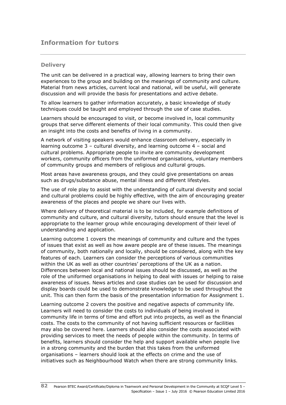## **Information for tutors**

## **Delivery**

The unit can be delivered in a practical way, allowing learners to bring their own experiences to the group and building on the meanings of community and culture. Material from news articles, current local and national, will be useful, will generate discussion and will provide the basis for presentations and active debate.

To allow learners to gather information accurately, a basic knowledge of study techniques could be taught and employed through the use of case studies.

Learners should be encouraged to visit, or become involved in, local community groups that serve different elements of their local community. This could then give an insight into the costs and benefits of living in a community.

A network of visiting speakers would enhance classroom delivery, especially in learning outcome 3 – cultural diversity, and learning outcome 4 – social and cultural problems. Appropriate people to invite are community development workers, community officers from the uniformed organisations, voluntary members of community groups and members of religious and cultural groups.

Most areas have awareness groups, and they could give presentations on areas such as drugs/substance abuse, mental illness and different lifestyles.

The use of role play to assist with the understanding of cultural diversity and social and cultural problems could be highly effective, with the aim of encouraging greater awareness of the places and people we share our lives with.

Where delivery of theoretical material is to be included, for example definitions of community and culture, and cultural diversity, tutors should ensure that the level is appropriate to the learner group while encouraging development of their level of understanding and application.

Learning outcome 1 covers the meanings of community and culture and the types of issues that exist as well as how aware people are of these issues. The meanings of community, both nationally and locally, should be considered, along with the key features of each. Learners can consider the perceptions of various communities within the UK as well as other countries' perceptions of the UK as a nation. Differences between local and national issues should be discussed, as well as the role of the uniformed organisations in helping to deal with issues or helping to raise awareness of issues. News articles and case studies can be used for discussion and display boards could be used to demonstrate knowledge to be used throughout the unit. This can then form the basis of the presentation information for Assignment 1.

Learning outcome 2 covers the positive and negative aspects of community life. Learners will need to consider the costs to individuals of being involved in community life in terms of time and effort put into projects, as well as the financial costs. The costs to the community of not having sufficient resources or facilities may also be covered here. Learners should also consider the costs associated with providing services to meet the needs of people within the community. In terms of benefits, learners should consider the help and support available when people live in a strong community and the burden that this takes from the uniformed organisations – learners should look at the effects on crime and the use of initiatives such as Neighbourhood Watch when there are strong community links.

Pearson BTEC Award/Certificate/Diploma in Teamwork and Personal Development in the Community at SCQF Level 5 – **82** Specification – Issue 1 – July 2016 © Pearson Education Limited 2016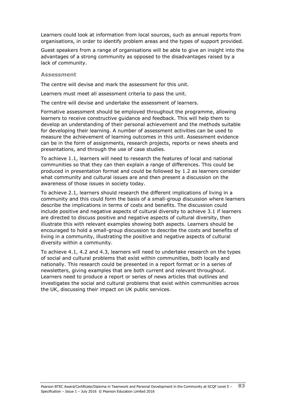Learners could look at information from local sources, such as annual reports from organisations, in order to identify problem areas and the types of support provided.

Guest speakers from a range of organisations will be able to give an insight into the advantages of a strong community as opposed to the disadvantages raised by a lack of community.

#### **Assessment**

The centre will devise and mark the assessment for this unit.

Learners must meet all assessment criteria to pass the unit.

The centre will devise and undertake the assessment of learners.

Formative assessment should be employed throughout the programme, allowing learners to receive constructive guidance and feedback. This will help them to develop an understanding of their personal achievement and the methods suitable for developing their learning. A number of assessment activities can be used to measure the achievement of learning outcomes in this unit. Assessment evidence can be in the form of assignments, research projects, reports or news sheets and presentations, and through the use of case studies.

To achieve 1.1, learners will need to research the features of local and national communities so that they can then explain a range of differences. This could be produced in presentation format and could be followed by 1.2 as learners consider what community and cultural issues are and then present a discussion on the awareness of those issues in society today.

To achieve 2.1, learners should research the different implications of living in a community and this could form the basis of a small-group discussion where learners describe the implications in terms of costs and benefits. The discussion could include positive and negative aspects of cultural diversity to achieve 3.1 if learners are directed to discuss positive and negative aspects of cultural diversity, then illustrate this with relevant examples showing both aspects. Learners should be encouraged to hold a small-group discussion to describe the costs and benefits of living in a community, illustrating the positive and negative aspects of cultural diversity within a community.

To achieve 4.1, 4.2 and 4.3, learners will need to undertake research on the types of social and cultural problems that exist within communities, both locally and nationally. This research could be presented in a report format or in a series of newsletters, giving examples that are both current and relevant throughout. Learners need to produce a report or series of news articles that outlines and investigates the social and cultural problems that exist within communities across the UK, discussing their impact on UK public services.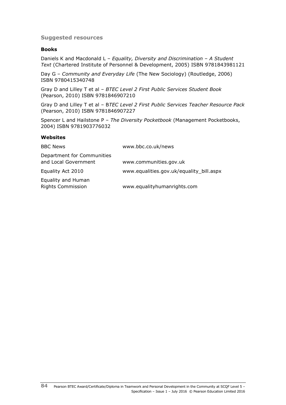### **Suggested resources**

### **Books**

Daniels K and Macdonald L – *Equality, Diversity and Discrimination – A Student Text* (Chartered Institute of Personnel & Development, 2005) ISBN 9781843981121

Day G – *Community and Everyday Life* (The New Sociology) (Routledge, 2006) ISBN 9780415340748

Gray D and Lilley T et al – *BTEC Level 2 First Public Services Student Book* (Pearson, 2010) ISBN 9781846907210

Gray D and Lilley T et al – B*TEC Level 2 First Public Services Teacher Resource Pack* (Pearson, 2010) ISBN 9781846907227

Spencer L and Hailstone P – *The Diversity Pocketbook* (Management Pocketbooks, 2004) ISBN 9781903776032

#### **Websites**

| <b>BBC News</b>                                    | www.bbc.co.uk/news                       |
|----------------------------------------------------|------------------------------------------|
| Department for Communities<br>and Local Government | www.communities.gov.uk                   |
| Equality Act 2010                                  | www.equalities.gov.uk/equality_bill.aspx |
| Equality and Human<br><b>Rights Commission</b>     | www.equalityhumanrights.com              |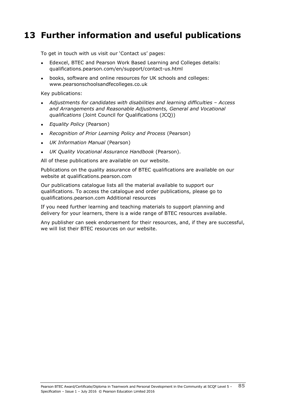# **13 Further information and useful publications**

To get in touch with us visit our 'Contact us' pages:

- Edexcel, BTEC and Pearson Work Based Learning and Colleges details: qualifications.pearson.com/en/support/contact-us.html
- books, software and online resources for UK schools and colleges: [www.pearsonschoolsandfecolleges.co.uk](http://www.pearsonschoolsandfecolleges.co.uk/contactus)

Key publications:

- *Adjustments for candidates with disabilities and learning difficulties – Access and Arrangements and Reasonable Adjustments, General and Vocational qualifications* (Joint Council for Qualifications (JCQ))
- *Equality Policy* (Pearson)
- *Recognition of Prior Learning Policy and Process* (Pearson)
- *UK Information Manual* (Pearson)
- *UK Quality Vocational Assurance Handbook* (Pearson).

All of these publications are available on our website.

Publications on the quality assurance of BTEC qualifications are available on our website at qualifications.pearson.com

Our publications catalogue lists all the material available to support our qualifications. To access the catalogue and order publications, please go to qualifications.pearson.com Additional resources

If you need further learning and teaching materials to support planning and delivery for your learners, there is a wide range of BTEC resources available.

Any publisher can seek endorsement for their resources, and, if they are successful, we will list their BTEC resources on our website.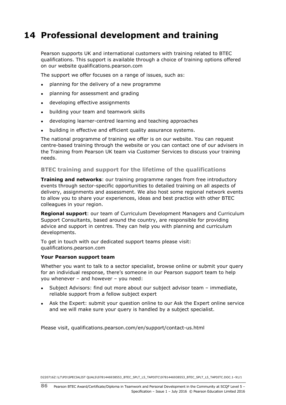# **14 Professional development and training**

Pearson supports UK and international customers with training related to BTEC qualifications. This support is available through a choice of training options offered on our website qualifications.pearson.com

The support we offer focuses on a range of issues, such as:

- planning for the delivery of a new programme
- planning for assessment and grading
- developing effective assignments
- building your team and teamwork skills
- developing learner-centred learning and teaching approaches
- building in effective and efficient quality assurance systems.

The national programme of training we offer is on our website. You can request centre-based training through the website or you can contact one of our advisers in the Training from Pearson UK team via Customer Services to discuss your training needs.

## **BTEC training and support for the lifetime of the qualifications**

**Training and networks**: our training programme ranges from free introductory events through sector-specific opportunities to detailed training on all aspects of delivery, assignments and assessment. We also host some regional network events to allow you to share your experiences, ideas and best practice with other BTEC colleagues in your region.

**Regional support**: our team of Curriculum Development Managers and Curriculum Support Consultants, based around the country, are responsible for providing advice and support in centres. They can help you with planning and curriculum developments.

To get in touch with our dedicated support teams please visit: qualifications.pearson.com

### **Your Pearson support team**

Whether you want to talk to a sector specialist, browse online or submit your query for an individual response, there's someone in our Pearson support team to help you whenever – and however – you need:

- Subject Advisors: find out more about our subject advisor team immediate, reliable support from a fellow subject expert
- Ask the Expert: submit your question online to our Ask the Expert online service and we will make sure your query is handled by a subject specialist.

Please visit, qualifications.pearson.com/en/support/contact-us.html

D220716Z:\LT\PD\SPECIALIST QUALS\9781446938553\_BTEC\_SPLT\_L5\_TAPDITC\9781446938553\_BTEC\_SPLT\_L5\_TAPDITC.DOC.1-91/1